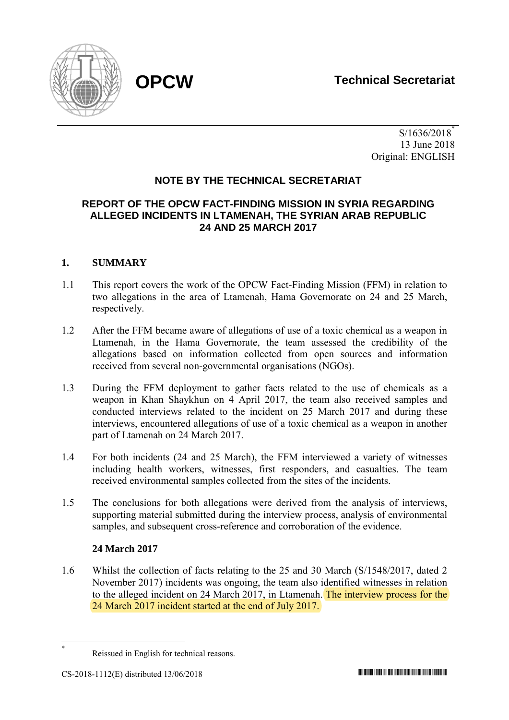

 $S/1636/2018^*$  13 June 2018 Original: ENGLISH

# **NOTE BY THE TECHNICAL SECRETARIAT**

# **REPORT OF THE OPCW FACT-FINDING MISSION IN SYRIA REGARDING ALLEGED INCIDENTS IN LTAMENAH, THE SYRIAN ARAB REPUBLIC 24 AND 25 MARCH 2017**

# **1. SUMMARY**

- 1.1 This report covers the work of the OPCW Fact-Finding Mission (FFM) in relation to two allegations in the area of Ltamenah, Hama Governorate on 24 and 25 March, respectively.
- 1.2 After the FFM became aware of allegations of use of a toxic chemical as a weapon in Ltamenah, in the Hama Governorate, the team assessed the credibility of the allegations based on information collected from open sources and information received from several non-governmental organisations (NGOs).
- 1.3 During the FFM deployment to gather facts related to the use of chemicals as a weapon in Khan Shaykhun on 4 April 2017, the team also received samples and conducted interviews related to the incident on 25 March 2017 and during these interviews, encountered allegations of use of a toxic chemical as a weapon in another part of Ltamenah on 24 March 2017.
- 1.4 For both incidents (24 and 25 March), the FFM interviewed a variety of witnesses including health workers, witnesses, first responders, and casualties. The team received environmental samples collected from the sites of the incidents.
- 1.5 The conclusions for both allegations were derived from the analysis of interviews, supporting material submitted during the interview process, analysis of environmental samples, and subsequent cross-reference and corroboration of the evidence.

# **24 March 2017**

1.6 Whilst the collection of facts relating to the 25 and 30 March (S/1548/2017, dated 2 November 2017) incidents was ongoing, the team also identified witnesses in relation to the alleged incident on 24 March 2017, in Ltamenah. The interview process for the 24 March 2017 incident started at the end of July 2017.

<sup>1</sup> \*

Reissued in English for technical reasons.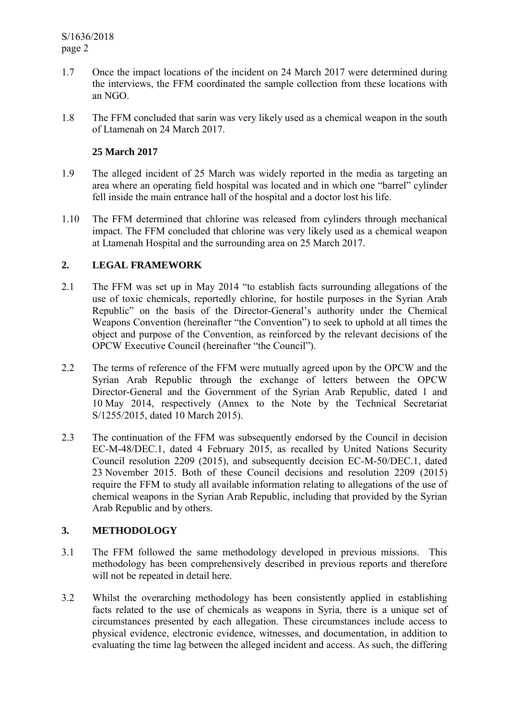- 1.7 Once the impact locations of the incident on 24 March 2017 were determined during the interviews, the FFM coordinated the sample collection from these locations with an NGO.
- 1.8 The FFM concluded that sarin was very likely used as a chemical weapon in the south of Ltamenah on 24 March 2017.

## **25 March 2017**

- 1.9 The alleged incident of 25 March was widely reported in the media as targeting an area where an operating field hospital was located and in which one "barrel" cylinder fell inside the main entrance hall of the hospital and a doctor lost his life.
- 1.10 The FFM determined that chlorine was released from cylinders through mechanical impact. The FFM concluded that chlorine was very likely used as a chemical weapon at Ltamenah Hospital and the surrounding area on 25 March 2017.

# **2. LEGAL FRAMEWORK**

- 2.1 The FFM was set up in May 2014 "to establish facts surrounding allegations of the use of toxic chemicals, reportedly chlorine, for hostile purposes in the Syrian Arab Republic" on the basis of the Director-General's authority under the Chemical Weapons Convention (hereinafter "the Convention") to seek to uphold at all times the object and purpose of the Convention, as reinforced by the relevant decisions of the OPCW Executive Council (hereinafter "the Council").
- 2.2 The terms of reference of the FFM were mutually agreed upon by the OPCW and the Syrian Arab Republic through the exchange of letters between the OPCW Director-General and the Government of the Syrian Arab Republic, dated 1 and 10 May 2014, respectively (Annex to the Note by the Technical Secretariat S/1255/2015, dated 10 March 2015).
- 2.3 The continuation of the FFM was subsequently endorsed by the Council in decision EC-M-48/DEC.1, dated 4 February 2015, as recalled by United Nations Security Council resolution 2209 (2015), and subsequently decision EC-M-50/DEC.1, dated 23 November 2015. Both of these Council decisions and resolution 2209 (2015) require the FFM to study all available information relating to allegations of the use of chemical weapons in the Syrian Arab Republic, including that provided by the Syrian Arab Republic and by others.

# **3. METHODOLOGY**

- 3.1 The FFM followed the same methodology developed in previous missions. This methodology has been comprehensively described in previous reports and therefore will not be repeated in detail here.
- 3.2 Whilst the overarching methodology has been consistently applied in establishing facts related to the use of chemicals as weapons in Syria, there is a unique set of circumstances presented by each allegation. These circumstances include access to physical evidence, electronic evidence, witnesses, and documentation, in addition to evaluating the time lag between the alleged incident and access. As such, the differing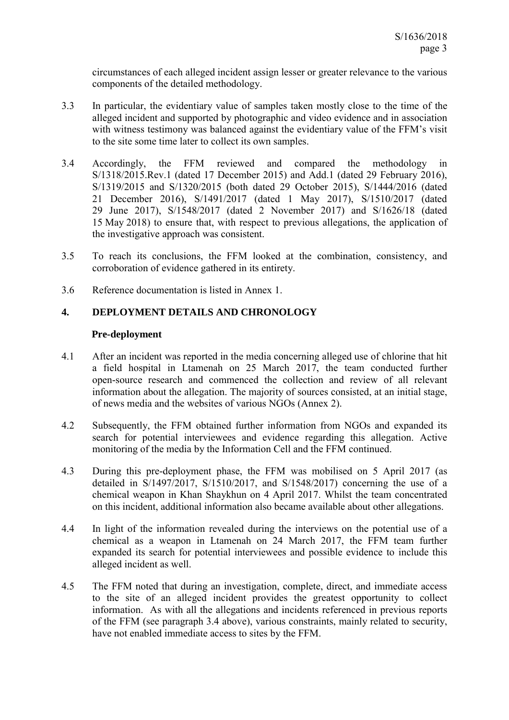circumstances of each alleged incident assign lesser or greater relevance to the various components of the detailed methodology.

- 3.3 In particular, the evidentiary value of samples taken mostly close to the time of the alleged incident and supported by photographic and video evidence and in association with witness testimony was balanced against the evidentiary value of the FFM's visit to the site some time later to collect its own samples.
- 3.4 Accordingly, the FFM reviewed and compared the methodology in S/1318/2015.Rev.1 (dated 17 December 2015) and Add.1 (dated 29 February 2016), S/1319/2015 and S/1320/2015 (both dated 29 October 2015), S/1444/2016 (dated 21 December 2016), S/1491/2017 (dated 1 May 2017), S/1510/2017 (dated 29 June 2017), S/1548/2017 (dated 2 November 2017) and S/1626/18 (dated 15 May 2018) to ensure that, with respect to previous allegations, the application of the investigative approach was consistent.
- 3.5 To reach its conclusions, the FFM looked at the combination, consistency, and corroboration of evidence gathered in its entirety.
- 3.6 Reference documentation is listed in Annex 1.

### **4. DEPLOYMENT DETAILS AND CHRONOLOGY**

#### **Pre-deployment**

- 4.1 After an incident was reported in the media concerning alleged use of chlorine that hit a field hospital in Ltamenah on 25 March 2017, the team conducted further open-source research and commenced the collection and review of all relevant information about the allegation. The majority of sources consisted, at an initial stage, of news media and the websites of various NGOs (Annex 2).
- 4.2 Subsequently, the FFM obtained further information from NGOs and expanded its search for potential interviewees and evidence regarding this allegation. Active monitoring of the media by the Information Cell and the FFM continued.
- 4.3 During this pre-deployment phase, the FFM was mobilised on 5 April 2017 (as detailed in S/1497/2017, S/1510/2017, and S/1548/2017) concerning the use of a chemical weapon in Khan Shaykhun on 4 April 2017. Whilst the team concentrated on this incident, additional information also became available about other allegations.
- 4.4 In light of the information revealed during the interviews on the potential use of a chemical as a weapon in Ltamenah on 24 March 2017, the FFM team further expanded its search for potential interviewees and possible evidence to include this alleged incident as well.
- 4.5 The FFM noted that during an investigation, complete, direct, and immediate access to the site of an alleged incident provides the greatest opportunity to collect information. As with all the allegations and incidents referenced in previous reports of the FFM (see paragraph 3.4 above), various constraints, mainly related to security, have not enabled immediate access to sites by the FFM.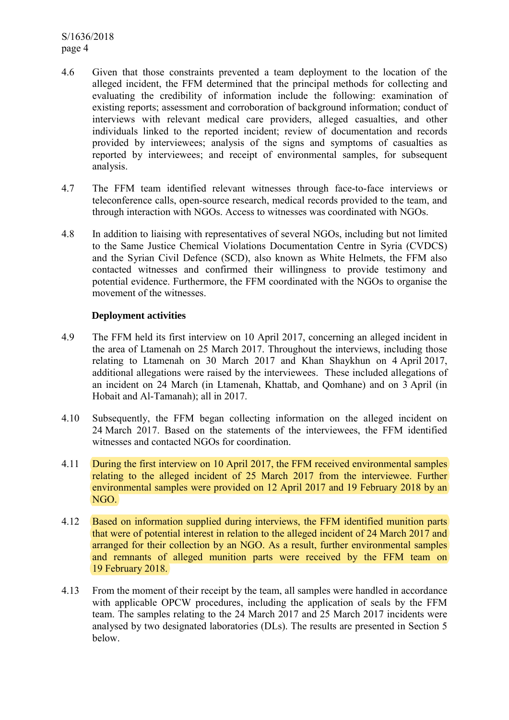S/1636/2018 page 4

- 4.6 Given that those constraints prevented a team deployment to the location of the alleged incident, the FFM determined that the principal methods for collecting and evaluating the credibility of information include the following: examination of existing reports; assessment and corroboration of background information; conduct of interviews with relevant medical care providers, alleged casualties, and other individuals linked to the reported incident; review of documentation and records provided by interviewees; analysis of the signs and symptoms of casualties as reported by interviewees; and receipt of environmental samples, for subsequent analysis.
- 4.7 The FFM team identified relevant witnesses through face-to-face interviews or teleconference calls, open-source research, medical records provided to the team, and through interaction with NGOs. Access to witnesses was coordinated with NGOs.
- 4.8 In addition to liaising with representatives of several NGOs, including but not limited to the Same Justice Chemical Violations Documentation Centre in Syria (CVDCS) and the Syrian Civil Defence (SCD), also known as White Helmets, the FFM also contacted witnesses and confirmed their willingness to provide testimony and potential evidence. Furthermore, the FFM coordinated with the NGOs to organise the movement of the witnesses.

#### **Deployment activities**

- 4.9 The FFM held its first interview on 10 April 2017, concerning an alleged incident in the area of Ltamenah on 25 March 2017. Throughout the interviews, including those relating to Ltamenah on 30 March 2017 and Khan Shaykhun on 4 April 2017, additional allegations were raised by the interviewees. These included allegations of an incident on 24 March (in Ltamenah, Khattab, and Qomhane) and on 3 April (in Hobait and Al-Tamanah); all in 2017.
- 4.10 Subsequently, the FFM began collecting information on the alleged incident on 24 March 2017. Based on the statements of the interviewees, the FFM identified witnesses and contacted NGOs for coordination.
- 4.11 During the first interview on 10 April 2017, the FFM received environmental samples relating to the alleged incident of 25 March 2017 from the interviewee. Further environmental samples were provided on 12 April 2017 and 19 February 2018 by an NGO.
- 4.12 Based on information supplied during interviews, the FFM identified munition parts that were of potential interest in relation to the alleged incident of 24 March 2017 and arranged for their collection by an NGO. As a result, further environmental samples and remnants of alleged munition parts were received by the FFM team on 19 February 2018.
- 4.13 From the moment of their receipt by the team, all samples were handled in accordance with applicable OPCW procedures, including the application of seals by the FFM team. The samples relating to the 24 March 2017 and 25 March 2017 incidents were analysed by two designated laboratories (DLs). The results are presented in Section 5 below.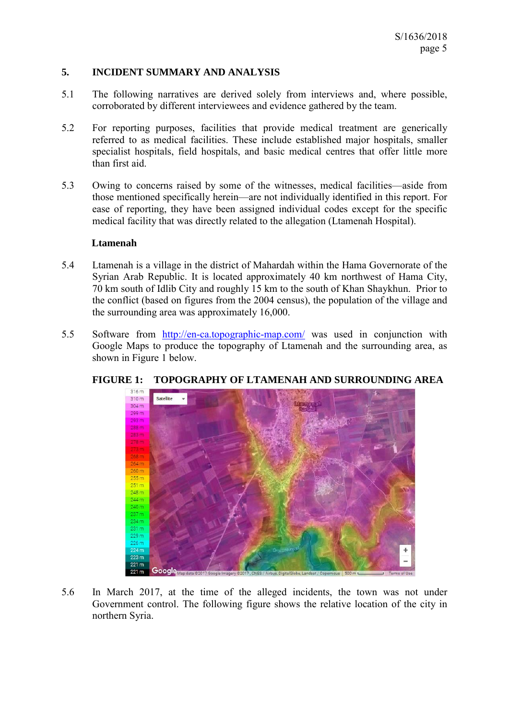### **5. INCIDENT SUMMARY AND ANALYSIS**

- 5.1 The following narratives are derived solely from interviews and, where possible, corroborated by different interviewees and evidence gathered by the team.
- 5.2 For reporting purposes, facilities that provide medical treatment are generically referred to as medical facilities. These include established major hospitals, smaller specialist hospitals, field hospitals, and basic medical centres that offer little more than first aid.
- 5.3 Owing to concerns raised by some of the witnesses, medical facilities—aside from those mentioned specifically herein—are not individually identified in this report. For ease of reporting, they have been assigned individual codes except for the specific medical facility that was directly related to the allegation (Ltamenah Hospital).

#### **Ltamenah**

- 5.4 Ltamenah is a village in the district of Mahardah within the Hama Governorate of the Syrian Arab Republic. It is located approximately 40 km northwest of Hama City, 70 km south of Idlib City and roughly 15 km to the south of Khan Shaykhun. Prior to the conflict (based on figures from the 2004 census), the population of the village and the surrounding area was approximately 16,000.
- 5.5 Software from http://en-ca.topographic-map.com/ was used in conjunction with Google Maps to produce the topography of Ltamenah and the surrounding area, as shown in Figure 1 below.



# **FIGURE 1: TOPOGRAPHY OF LTAMENAH AND SURROUNDING AREA**

5.6 In March 2017, at the time of the alleged incidents, the town was not under Government control. The following figure shows the relative location of the city in northern Syria.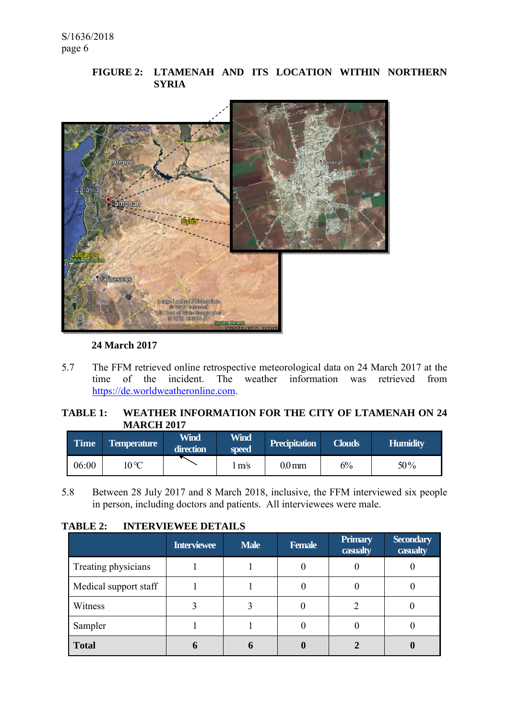# **FIGURE 2: LTAMENAH AND ITS LOCATION WITHIN NORTHERN SYRIA**



## **24 March 2017**

5.7 The FFM retrieved online retrospective meteorological data on 24 March 2017 at the time of the incident. The weather information was retrieved from https://de.worldweatheronline.com.

# **TABLE 1: WEATHER INFORMATION FOR THE CITY OF LTAMENAH ON 24 MARCH 2017**

| Time  | <b>Temperature</b> | Wind<br>direction | <b>Wind</b><br>speed | <b>Precipitation</b> | <b>Clouds</b> | <b>Humidity</b> |
|-------|--------------------|-------------------|----------------------|----------------------|---------------|-----------------|
| 06:00 | 10 °C              |                   | m/s                  | $0.0 \,\mathrm{mm}$  | 6%            | 50%             |

5.8 Between 28 July 2017 and 8 March 2018, inclusive, the FFM interviewed six people in person, including doctors and patients. All interviewees were male.

### **TABLE 2: INTERVIEWEE DETAILS**

|                       | <b>Interviewee</b> | <b>Male</b> | <b>Female</b> | Primary<br>casualty | <b>Secondary</b><br>casualty |
|-----------------------|--------------------|-------------|---------------|---------------------|------------------------------|
| Treating physicians   |                    |             |               |                     |                              |
| Medical support staff |                    |             |               |                     |                              |
| Witness               |                    |             |               |                     |                              |
| Sampler               |                    |             |               |                     |                              |
| <b>Total</b>          |                    |             |               |                     |                              |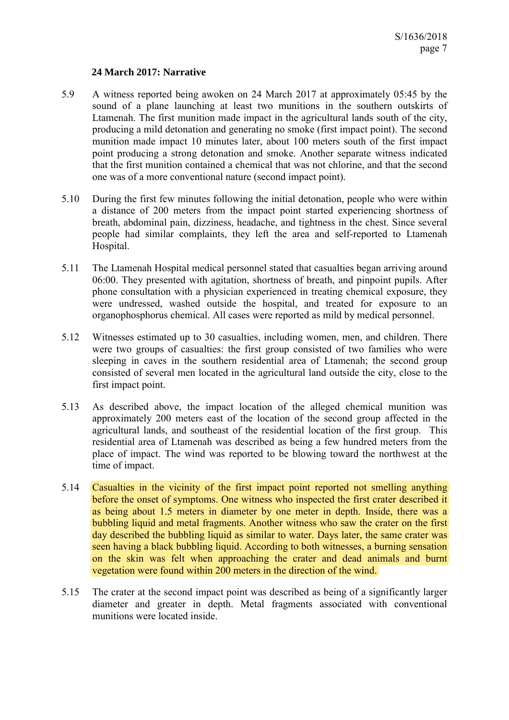#### **24 March 2017: Narrative**

- 5.9 A witness reported being awoken on 24 March 2017 at approximately 05:45 by the sound of a plane launching at least two munitions in the southern outskirts of Ltamenah. The first munition made impact in the agricultural lands south of the city, producing a mild detonation and generating no smoke (first impact point). The second munition made impact 10 minutes later, about 100 meters south of the first impact point producing a strong detonation and smoke. Another separate witness indicated that the first munition contained a chemical that was not chlorine, and that the second one was of a more conventional nature (second impact point).
- 5.10 During the first few minutes following the initial detonation, people who were within a distance of 200 meters from the impact point started experiencing shortness of breath, abdominal pain, dizziness, headache, and tightness in the chest. Since several people had similar complaints, they left the area and self-reported to Ltamenah Hospital.
- 5.11 The Ltamenah Hospital medical personnel stated that casualties began arriving around 06:00. They presented with agitation, shortness of breath, and pinpoint pupils. After phone consultation with a physician experienced in treating chemical exposure, they were undressed, washed outside the hospital, and treated for exposure to an organophosphorus chemical. All cases were reported as mild by medical personnel.
- 5.12 Witnesses estimated up to 30 casualties, including women, men, and children. There were two groups of casualties: the first group consisted of two families who were sleeping in caves in the southern residential area of Ltamenah; the second group consisted of several men located in the agricultural land outside the city, close to the first impact point.
- 5.13 As described above, the impact location of the alleged chemical munition was approximately 200 meters east of the location of the second group affected in the agricultural lands, and southeast of the residential location of the first group. This residential area of Ltamenah was described as being a few hundred meters from the place of impact. The wind was reported to be blowing toward the northwest at the time of impact.
- 5.14 Casualties in the vicinity of the first impact point reported not smelling anything before the onset of symptoms. One witness who inspected the first crater described it as being about 1.5 meters in diameter by one meter in depth. Inside, there was a bubbling liquid and metal fragments. Another witness who saw the crater on the first day described the bubbling liquid as similar to water. Days later, the same crater was seen having a black bubbling liquid. According to both witnesses, a burning sensation on the skin was felt when approaching the crater and dead animals and burnt vegetation were found within 200 meters in the direction of the wind.
- 5.15 The crater at the second impact point was described as being of a significantly larger diameter and greater in depth. Metal fragments associated with conventional munitions were located inside.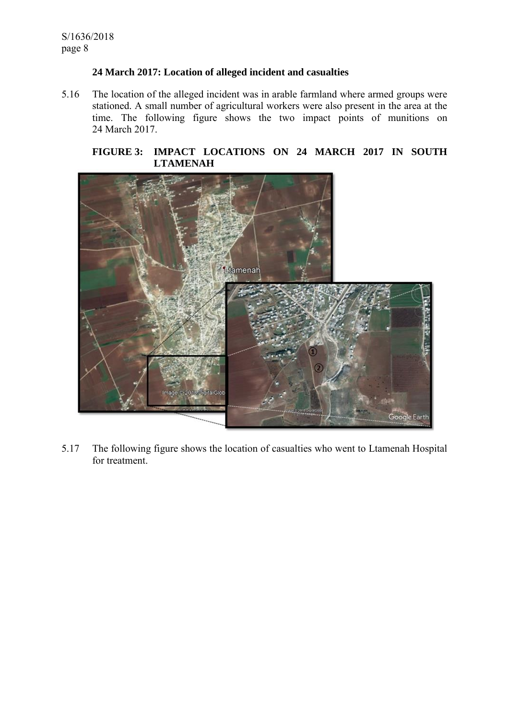## **24 March 2017: Location of alleged incident and casualties**

5.16 The location of the alleged incident was in arable farmland where armed groups were stationed. A small number of agricultural workers were also present in the area at the time. The following figure shows the two impact points of munitions on 24 March 2017.

## **FIGURE 3: IMPACT LOCATIONS ON 24 MARCH 2017 IN SOUTH LTAMENAH**



5.17 The following figure shows the location of casualties who went to Ltamenah Hospital for treatment.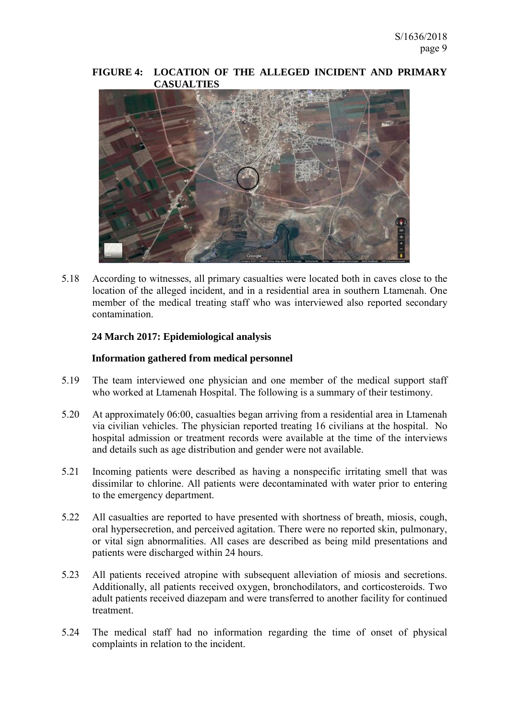#### **FIGURE 4: LOCATION OF THE ALLEGED INCIDENT AND PRIMARY CASUALTIES**



5.18 According to witnesses, all primary casualties were located both in caves close to the location of the alleged incident, and in a residential area in southern Ltamenah. One member of the medical treating staff who was interviewed also reported secondary contamination.

### **24 March 2017: Epidemiological analysis**

#### **Information gathered from medical personnel**

- 5.19 The team interviewed one physician and one member of the medical support staff who worked at Ltamenah Hospital. The following is a summary of their testimony.
- 5.20 At approximately 06:00, casualties began arriving from a residential area in Ltamenah via civilian vehicles. The physician reported treating 16 civilians at the hospital. No hospital admission or treatment records were available at the time of the interviews and details such as age distribution and gender were not available.
- 5.21 Incoming patients were described as having a nonspecific irritating smell that was dissimilar to chlorine. All patients were decontaminated with water prior to entering to the emergency department.
- 5.22 All casualties are reported to have presented with shortness of breath, miosis, cough, oral hypersecretion, and perceived agitation. There were no reported skin, pulmonary, or vital sign abnormalities. All cases are described as being mild presentations and patients were discharged within 24 hours.
- 5.23 All patients received atropine with subsequent alleviation of miosis and secretions. Additionally, all patients received oxygen, bronchodilators, and corticosteroids. Two adult patients received diazepam and were transferred to another facility for continued treatment.
- 5.24 The medical staff had no information regarding the time of onset of physical complaints in relation to the incident.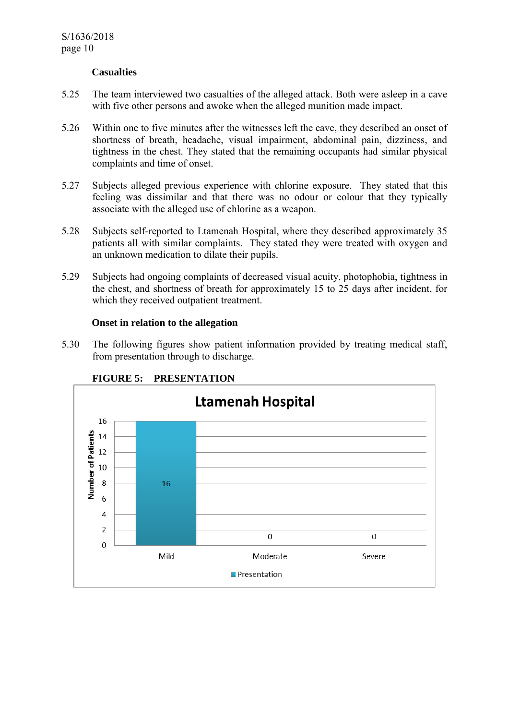#### **Casualties**

- 5.25 The team interviewed two casualties of the alleged attack. Both were asleep in a cave with five other persons and awoke when the alleged munition made impact.
- 5.26 Within one to five minutes after the witnesses left the cave, they described an onset of shortness of breath, headache, visual impairment, abdominal pain, dizziness, and tightness in the chest. They stated that the remaining occupants had similar physical complaints and time of onset.
- 5.27 Subjects alleged previous experience with chlorine exposure. They stated that this feeling was dissimilar and that there was no odour or colour that they typically associate with the alleged use of chlorine as a weapon.
- 5.28 Subjects self-reported to Ltamenah Hospital, where they described approximately 35 patients all with similar complaints. They stated they were treated with oxygen and an unknown medication to dilate their pupils.
- 5.29 Subjects had ongoing complaints of decreased visual acuity, photophobia, tightness in the chest, and shortness of breath for approximately 15 to 25 days after incident, for which they received outpatient treatment.

#### **Onset in relation to the allegation**

5.30 The following figures show patient information provided by treating medical staff, from presentation through to discharge.



# **FIGURE 5: PRESENTATION**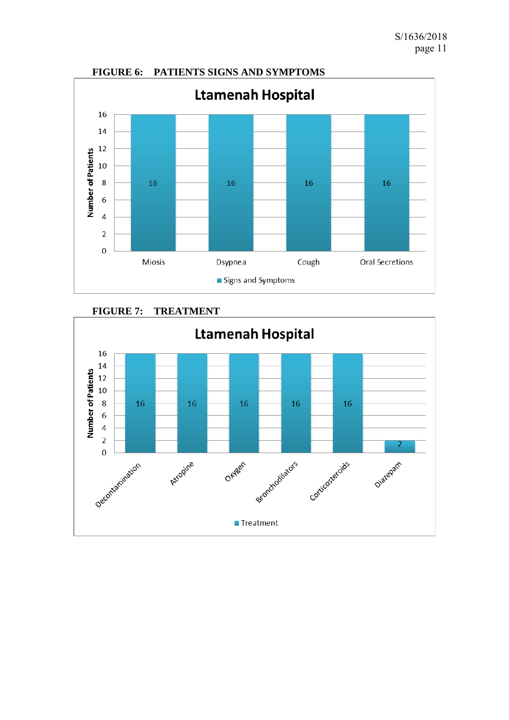

# **FIGURE 7: TREATMENT**

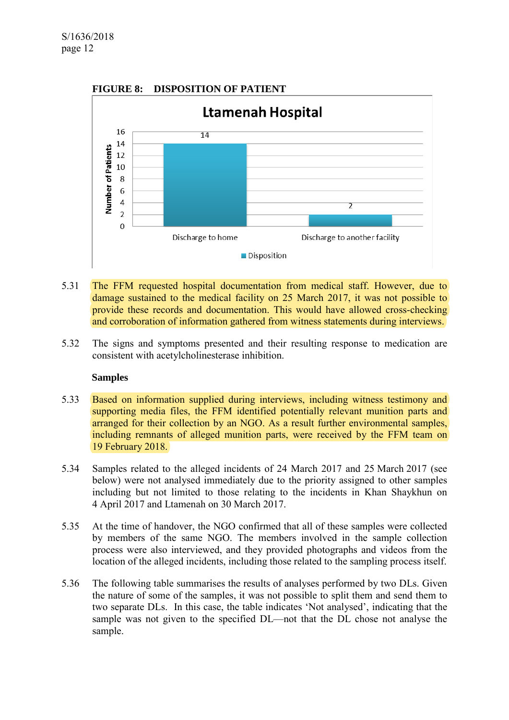

**FIGURE 8: DISPOSITION OF PATIENT** 

- 5.31 The FFM requested hospital documentation from medical staff. However, due to damage sustained to the medical facility on 25 March 2017, it was not possible to provide these records and documentation. This would have allowed cross-checking and corroboration of information gathered from witness statements during interviews.
- 5.32 The signs and symptoms presented and their resulting response to medication are consistent with acetylcholinesterase inhibition.

#### **Samples**

- 5.33 Based on information supplied during interviews, including witness testimony and supporting media files, the FFM identified potentially relevant munition parts and arranged for their collection by an NGO. As a result further environmental samples, including remnants of alleged munition parts, were received by the FFM team on 19 February 2018.
- 5.34 Samples related to the alleged incidents of 24 March 2017 and 25 March 2017 (see below) were not analysed immediately due to the priority assigned to other samples including but not limited to those relating to the incidents in Khan Shaykhun on 4 April 2017 and Ltamenah on 30 March 2017.
- 5.35 At the time of handover, the NGO confirmed that all of these samples were collected by members of the same NGO. The members involved in the sample collection process were also interviewed, and they provided photographs and videos from the location of the alleged incidents, including those related to the sampling process itself.
- 5.36 The following table summarises the results of analyses performed by two DLs. Given the nature of some of the samples, it was not possible to split them and send them to two separate DLs. In this case, the table indicates 'Not analysed', indicating that the sample was not given to the specified DL—not that the DL chose not analyse the sample.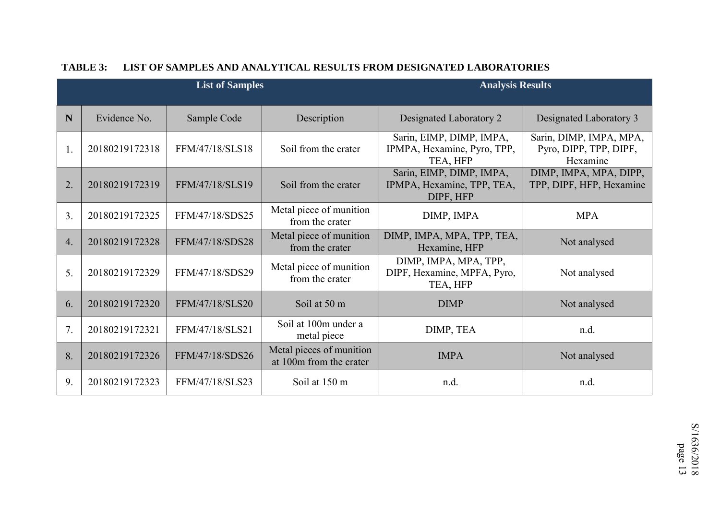|    |                | <b>List of Samples</b> |                                                     | <b>Analysis Results</b>                                             |                                                               |
|----|----------------|------------------------|-----------------------------------------------------|---------------------------------------------------------------------|---------------------------------------------------------------|
| N  | Evidence No.   | Sample Code            | Description                                         | Designated Laboratory 2                                             | Designated Laboratory 3                                       |
| 1. | 20180219172318 | FFM/47/18/SLS18        | Soil from the crater                                | Sarin, EIMP, DIMP, IMPA,<br>IPMPA, Hexamine, Pyro, TPP,<br>TEA, HFP | Sarin, DIMP, IMPA, MPA,<br>Pyro, DIPP, TPP, DIPF,<br>Hexamine |
| 2. | 20180219172319 | FFM/47/18/SLS19        | Soil from the crater                                | Sarin, EIMP, DIMP, IMPA,<br>IPMPA, Hexamine, TPP, TEA,<br>DIPF, HFP | DIMP, IMPA, MPA, DIPP,<br>TPP, DIPF, HFP, Hexamine            |
| 3. | 20180219172325 | FFM/47/18/SDS25        | Metal piece of munition<br>from the crater          | DIMP, IMPA                                                          | <b>MPA</b>                                                    |
| 4. | 20180219172328 | FFM/47/18/SDS28        | Metal piece of munition<br>from the crater          | DIMP, IMPA, MPA, TPP, TEA,<br>Hexamine, HFP                         | Not analysed                                                  |
| 5. | 20180219172329 | FFM/47/18/SDS29        | Metal piece of munition<br>from the crater          | DIMP, IMPA, MPA, TPP,<br>DIPF, Hexamine, MPFA, Pyro,<br>TEA, HFP    | Not analysed                                                  |
| 6. | 20180219172320 | FFM/47/18/SLS20        | Soil at 50 m                                        | <b>DIMP</b>                                                         | Not analysed                                                  |
| 7. | 20180219172321 | FFM/47/18/SLS21        | Soil at 100m under a<br>metal piece                 | DIMP, TEA                                                           | n.d.                                                          |
| 8. | 20180219172326 | FFM/47/18/SDS26        | Metal pieces of munition<br>at 100m from the crater | <b>IMPA</b>                                                         | Not analysed                                                  |
| 9. | 20180219172323 | FFM/47/18/SLS23        | Soil at 150 m                                       | n.d.                                                                | n.d.                                                          |

#### **TABLE 3: LIST OF SAMPLES AND ANALYTICAL RESULTS FROM DESIGNATED LABORATORIES**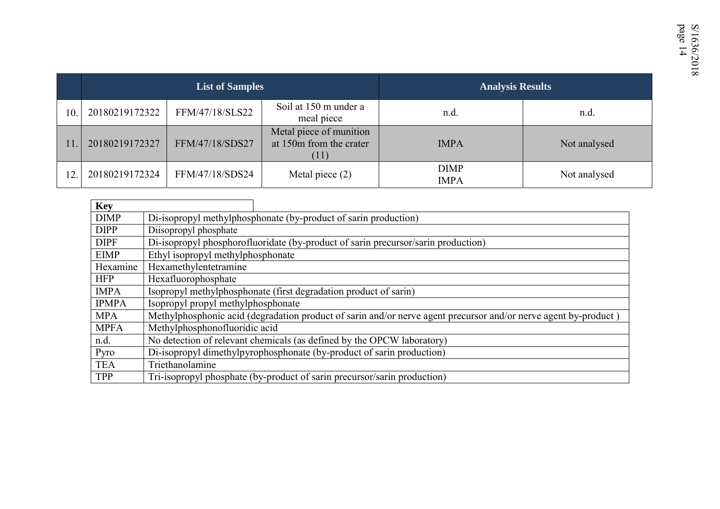|     |                | <b>List of Samples</b> |                                                            | <b>Analysis Results</b>    |              |
|-----|----------------|------------------------|------------------------------------------------------------|----------------------------|--------------|
| 10  | 20180219172322 | FFM/47/18/SLS22        | Soil at 150 m under a<br>meal piece                        | n.d.                       | n.d.         |
|     | 20180219172327 | FFM/47/18/SDS27        | Metal piece of munition<br>at 150m from the crater<br>(11) | <b>IMPA</b>                | Not analysed |
| 12. | 20180219172324 | FFM/47/18/SDS24        | Metal piece $(2)$                                          | <b>DIMP</b><br><b>IMPA</b> | Not analysed |

| <b>Key</b>   |                                                                                                                 |
|--------------|-----------------------------------------------------------------------------------------------------------------|
| <b>DIMP</b>  | Di-isopropyl methylphosphonate (by-product of sarin production)                                                 |
| <b>DIPP</b>  | Diisopropyl phosphate                                                                                           |
| <b>DIPF</b>  | Di-isopropyl phosphorofluoridate (by-product of sarin precursor/sarin production)                               |
| <b>EIMP</b>  | Ethyl isopropyl methylphosphonate                                                                               |
| Hexamine     | Hexamethylentetramine                                                                                           |
| <b>HFP</b>   | Hexafluorophosphate                                                                                             |
| <b>IMPA</b>  | Isopropyl methylphosphonate (first degradation product of sarin)                                                |
| <b>IPMPA</b> | Isopropyl propyl methylphosphonate                                                                              |
| <b>MPA</b>   | Methylphosphonic acid (degradation product of sarin and/or nerve agent precursor and/or nerve agent by-product) |
| <b>MPFA</b>  | Methylphosphonofluoridic acid                                                                                   |
| n.d.         | No detection of relevant chemicals (as defined by the OPCW laboratory)                                          |
| Pyro         | Di-isopropyl dimethylpyrophosphonate (by-product of sarin production)                                           |
| <b>TEA</b>   | Triethanolamine                                                                                                 |
| TPP          | Tri-isopropyl phosphate (by-product of sarin precursor/sarin production)                                        |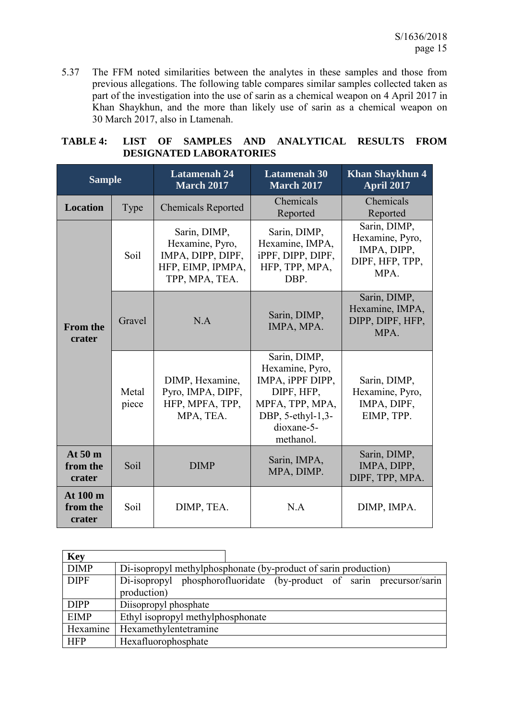5.37 The FFM noted similarities between the analytes in these samples and those from previous allegations. The following table compares similar samples collected taken as part of the investigation into the use of sarin as a chemical weapon on 4 April 2017 in Khan Shaykhun, and the more than likely use of sarin as a chemical weapon on 30 March 2017, also in Ltamenah.

|                                |  |  |  | TABLE 4: LIST OF SAMPLES AND ANALYTICAL RESULTS FROM |  |
|--------------------------------|--|--|--|------------------------------------------------------|--|
| <b>DESIGNATED LABORATORIES</b> |  |  |  |                                                      |  |

| <b>Sample</b>                  |                                   | <b>Latamenah 24</b><br><b>March 2017</b>                                                    | <b>Latamenah 30</b><br><b>March 2017</b>                                                                                             | <b>Khan Shaykhun 4</b><br><b>April 2017</b>                               |
|--------------------------------|-----------------------------------|---------------------------------------------------------------------------------------------|--------------------------------------------------------------------------------------------------------------------------------------|---------------------------------------------------------------------------|
| <b>Location</b>                | Type<br><b>Chemicals Reported</b> |                                                                                             | Chemicals<br>Reported                                                                                                                | Chemicals<br>Reported                                                     |
|                                | Soil                              | Sarin, DIMP,<br>Hexamine, Pyro,<br>IMPA, DIPP, DIPF,<br>HFP, EIMP, IPMPA,<br>TPP, MPA, TEA. | Sarin, DIMP,<br>Hexamine, IMPA,<br>iPPF, DIPP, DIPF,<br>HFP, TPP, MPA,<br>DBP.                                                       | Sarin, DIMP,<br>Hexamine, Pyro,<br>IMPA, DIPP,<br>DIPF, HFP, TPP,<br>MPA. |
| <b>From the</b><br>crater      | Gravel<br>N.A                     |                                                                                             | Sarin, DIMP,<br>IMPA, MPA.                                                                                                           | Sarin, DIMP,<br>Hexamine, IMPA,<br>DIPP, DIPF, HFP,<br>MPA.               |
|                                | Metal<br>piece                    | DIMP, Hexamine,<br>Pyro, IMPA, DIPF,<br>HFP, MPFA, TPP,<br>MPA, TEA.                        | Sarin, DIMP,<br>Hexamine, Pyro,<br>IMPA, iPPF DIPP,<br>DIPF, HFP,<br>MPFA, TPP, MPA,<br>DBP, 5-ethyl-1,3-<br>dioxane-5-<br>methanol. | Sarin, DIMP,<br>Hexamine, Pyro,<br>IMPA, DIPF,<br>EIMP, TPP.              |
| At $50m$<br>from the<br>crater | Soil<br><b>DIMP</b>               |                                                                                             | Sarin, IMPA,<br>MPA, DIMP.                                                                                                           | Sarin, DIMP,<br>IMPA, DIPP,<br>DIPF, TPP, MPA.                            |
| At 100 m<br>from the<br>crater | Soil                              | DIMP, TEA.                                                                                  | N.A                                                                                                                                  | DIMP, IMPA.                                                               |

| <b>Key</b>  |                                                                       |  |  |  |  |  |
|-------------|-----------------------------------------------------------------------|--|--|--|--|--|
| <b>DIMP</b> | Di-isopropyl methylphosphonate (by-product of sarin production)       |  |  |  |  |  |
| <b>DIPF</b> | Di-isopropyl phosphorofluoridate (by-product of sarin precursor/sarin |  |  |  |  |  |
|             | production)                                                           |  |  |  |  |  |
| <b>DIPP</b> | Diisopropyl phosphate                                                 |  |  |  |  |  |
| <b>EIMP</b> | Ethyl isopropyl methylphosphonate                                     |  |  |  |  |  |
| Hexamine    | Hexamethylentetramine                                                 |  |  |  |  |  |
| <b>HFP</b>  | Hexafluorophosphate                                                   |  |  |  |  |  |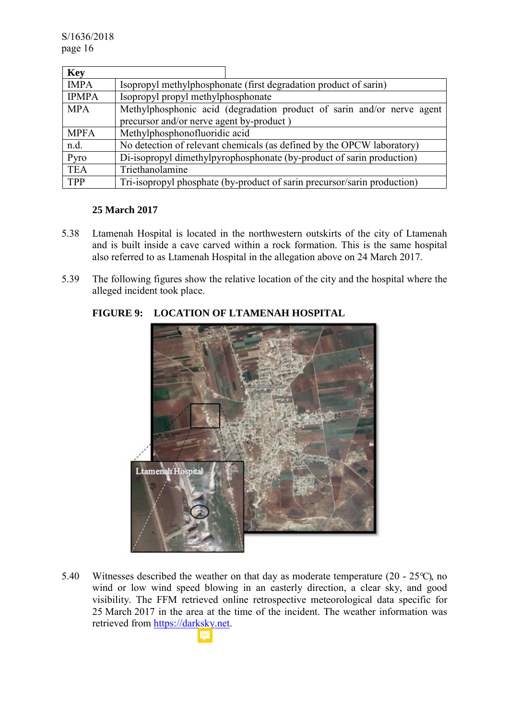| <b>Key</b>   |                                                                          |  |  |  |  |
|--------------|--------------------------------------------------------------------------|--|--|--|--|
| <b>IMPA</b>  | Isopropyl methylphosphonate (first degradation product of sarin)         |  |  |  |  |
| <b>IPMPA</b> | Isopropyl propyl methylphosphonate                                       |  |  |  |  |
| <b>MPA</b>   | Methylphosphonic acid (degradation product of sarin and/or nerve agent   |  |  |  |  |
|              | precursor and/or nerve agent by-product)                                 |  |  |  |  |
| <b>MPFA</b>  | Methylphosphonofluoridic acid                                            |  |  |  |  |
| n.d.         | No detection of relevant chemicals (as defined by the OPCW laboratory)   |  |  |  |  |
| Pyro         | Di-isopropyl dimethylpyrophosphonate (by-product of sarin production)    |  |  |  |  |
| <b>TEA</b>   | Triethanolamine                                                          |  |  |  |  |
| <b>TPP</b>   | Tri-isopropyl phosphate (by-product of sarin precursor/sarin production) |  |  |  |  |

# **25 March 2017**

- 5.38 Ltamenah Hospital is located in the northwestern outskirts of the city of Ltamenah and is built inside a cave carved within a rock formation. This is the same hospital also referred to as Ltamenah Hospital in the allegation above on 24 March 2017.
- 5.39 The following figures show the relative location of the city and the hospital where the alleged incident took place.



# **FIGURE 9: LOCATION OF LTAMENAH HOSPITAL**

5.40 Witnesses described the weather on that day as moderate temperature (20 - 25°C), no wind or low wind speed blowing in an easterly direction, a clear sky, and good visibility. The FFM retrieved online retrospective meteorological data specific for 25 March 2017 in the area at the time of the incident. The weather information was retrieved from https://darksky.net.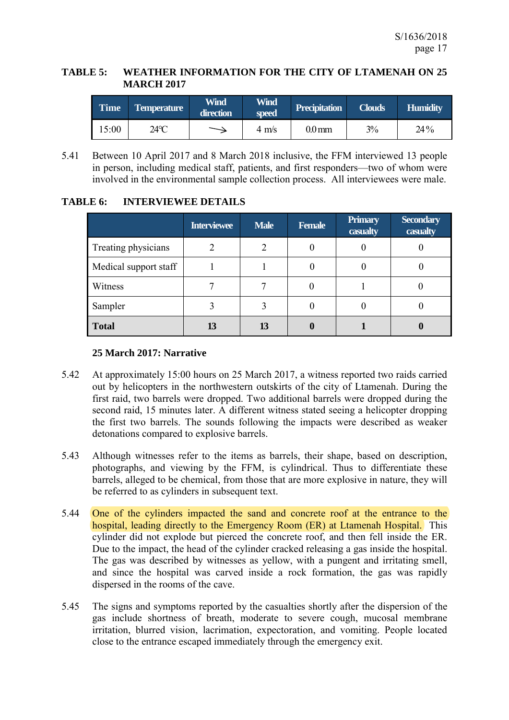## **TABLE 5: WEATHER INFORMATION FOR THE CITY OF LTAMENAH ON 25 MARCH 2017**

| Time  | <b>Temperature</b> | <b>Wind</b><br>direction | <b>Wind</b><br>speed | <b>Precipitation</b> | <b>Clouds</b> | <b>Humidity</b> |
|-------|--------------------|--------------------------|----------------------|----------------------|---------------|-----------------|
| 15:00 | 24°C               |                          | $4 \text{ m/s}$      | $0.0 \,\mathrm{mm}$  | 3%            | 24%             |

5.41 Between 10 April 2017 and 8 March 2018 inclusive, the FFM interviewed 13 people in person, including medical staff, patients, and first responders—two of whom were involved in the environmental sample collection process. All interviewees were male.

|                       | <b>Interviewee</b> | <b>Male</b> | <b>Female</b> | <b>Primary</b><br>casualty | <b>Secondary</b><br>casualty |
|-----------------------|--------------------|-------------|---------------|----------------------------|------------------------------|
| Treating physicians   |                    |             |               |                            |                              |
| Medical support staff |                    |             |               |                            |                              |
| Witness               |                    |             |               |                            |                              |
| Sampler               |                    |             |               |                            |                              |
| <b>Total</b>          |                    | 13          |               |                            |                              |

# **TABLE 6: INTERVIEWEE DETAILS**

# **25 March 2017: Narrative**

- 5.42 At approximately 15:00 hours on 25 March 2017, a witness reported two raids carried out by helicopters in the northwestern outskirts of the city of Ltamenah. During the first raid, two barrels were dropped. Two additional barrels were dropped during the second raid, 15 minutes later. A different witness stated seeing a helicopter dropping the first two barrels. The sounds following the impacts were described as weaker detonations compared to explosive barrels.
- 5.43 Although witnesses refer to the items as barrels, their shape, based on description, photographs, and viewing by the FFM, is cylindrical. Thus to differentiate these barrels, alleged to be chemical, from those that are more explosive in nature, they will be referred to as cylinders in subsequent text.
- 5.44 One of the cylinders impacted the sand and concrete roof at the entrance to the hospital, leading directly to the Emergency Room (ER) at Ltamenah Hospital. This cylinder did not explode but pierced the concrete roof, and then fell inside the ER. Due to the impact, the head of the cylinder cracked releasing a gas inside the hospital. The gas was described by witnesses as yellow, with a pungent and irritating smell, and since the hospital was carved inside a rock formation, the gas was rapidly dispersed in the rooms of the cave.
- 5.45 The signs and symptoms reported by the casualties shortly after the dispersion of the gas include shortness of breath, moderate to severe cough, mucosal membrane irritation, blurred vision, lacrimation, expectoration, and vomiting. People located close to the entrance escaped immediately through the emergency exit.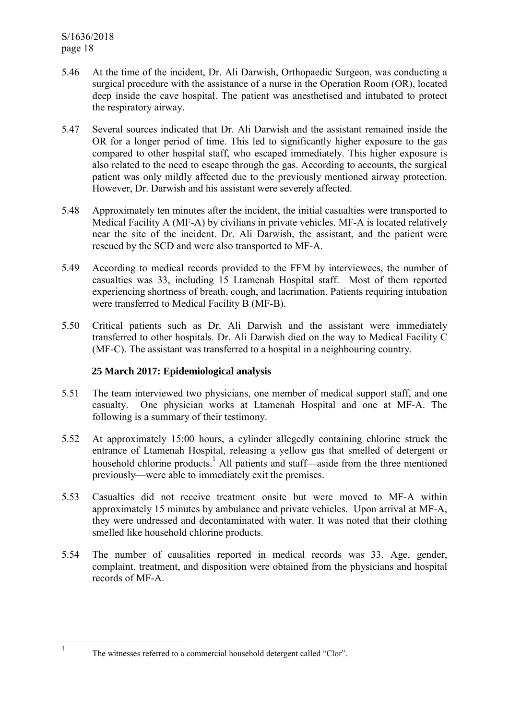- 5.46 At the time of the incident, Dr. Ali Darwish, Orthopaedic Surgeon, was conducting a surgical procedure with the assistance of a nurse in the Operation Room (OR), located deep inside the cave hospital. The patient was anesthetised and intubated to protect the respiratory airway.
- 5.47 Several sources indicated that Dr. Ali Darwish and the assistant remained inside the OR for a longer period of time. This led to significantly higher exposure to the gas compared to other hospital staff, who escaped immediately. This higher exposure is also related to the need to escape through the gas. According to accounts, the surgical patient was only mildly affected due to the previously mentioned airway protection. However, Dr. Darwish and his assistant were severely affected.
- 5.48 Approximately ten minutes after the incident, the initial casualties were transported to Medical Facility A (MF-A) by civilians in private vehicles. MF-A is located relatively near the site of the incident. Dr. Ali Darwish, the assistant, and the patient were rescued by the SCD and were also transported to MF-A.
- 5.49 According to medical records provided to the FFM by interviewees, the number of casualties was 33, including 15 Ltamenah Hospital staff. Most of them reported experiencing shortness of breath, cough, and lacrimation. Patients requiring intubation were transferred to Medical Facility B (MF-B).
- 5.50 Critical patients such as Dr. Ali Darwish and the assistant were immediately transferred to other hospitals. Dr. Ali Darwish died on the way to Medical Facility C (MF-C). The assistant was transferred to a hospital in a neighbouring country.

### **25 March 2017: Epidemiological analysis**

- 5.51 The team interviewed two physicians, one member of medical support staff, and one casualty. One physician works at Ltamenah Hospital and one at MF-A. The following is a summary of their testimony.
- 5.52 At approximately 15:00 hours, a cylinder allegedly containing chlorine struck the entrance of Ltamenah Hospital, releasing a yellow gas that smelled of detergent or household chlorine products.<sup>1</sup> All patients and staff—aside from the three mentioned previously—were able to immediately exit the premises.
- 5.53 Casualties did not receive treatment onsite but were moved to MF-A within approximately 15 minutes by ambulance and private vehicles. Upon arrival at MF-A, they were undressed and decontaminated with water. It was noted that their clothing smelled like household chlorine products.
- 5.54 The number of causalities reported in medical records was 33. Age, gender, complaint, treatment, and disposition were obtained from the physicians and hospital records of MF-A.

The witnesses referred to a commercial household detergent called "Clor".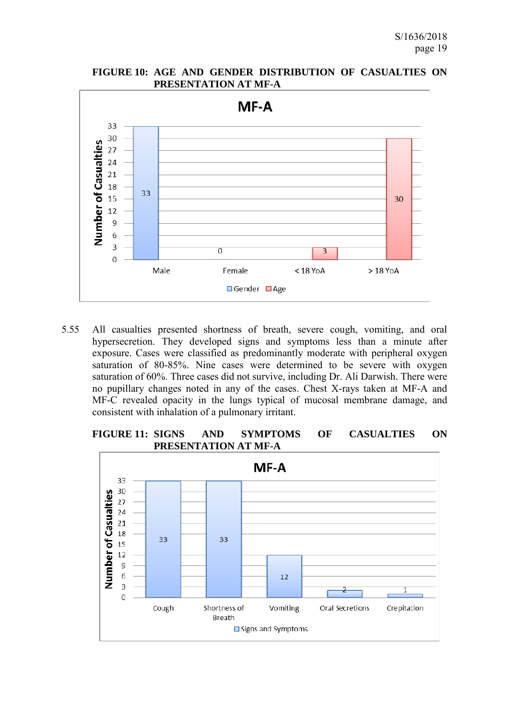



5.55 All casualties presented shortness of breath, severe cough, vomiting, and oral hypersecretion. They developed signs and symptoms less than a minute after exposure. Cases were classified as predominantly moderate with peripheral oxygen saturation of 80-85%. Nine cases were determined to be severe with oxygen saturation of 60%. Three cases did not survive, including Dr. Ali Darwish. There were no pupillary changes noted in any of the cases. Chest X-rays taken at MF-A and MF-C revealed opacity in the lungs typical of mucosal membrane damage, and consistent with inhalation of a pulmonary irritant.



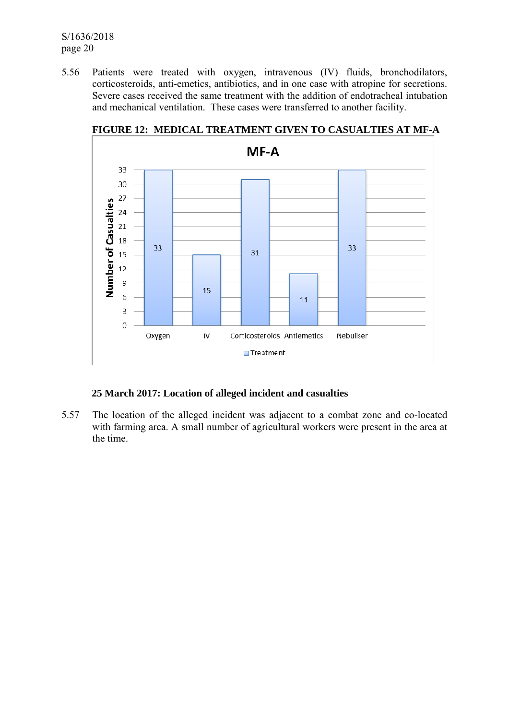5.56 Patients were treated with oxygen, intravenous (IV) fluids, bronchodilators, corticosteroids, anti-emetics, antibiotics, and in one case with atropine for secretions. Severe cases received the same treatment with the addition of endotracheal intubation and mechanical ventilation. These cases were transferred to another facility.



# **FIGURE 12: MEDICAL TREATMENT GIVEN TO CASUALTIES AT MF-A**

## **25 March 2017: Location of alleged incident and casualties**

5.57 The location of the alleged incident was adjacent to a combat zone and co-located with farming area. A small number of agricultural workers were present in the area at the time.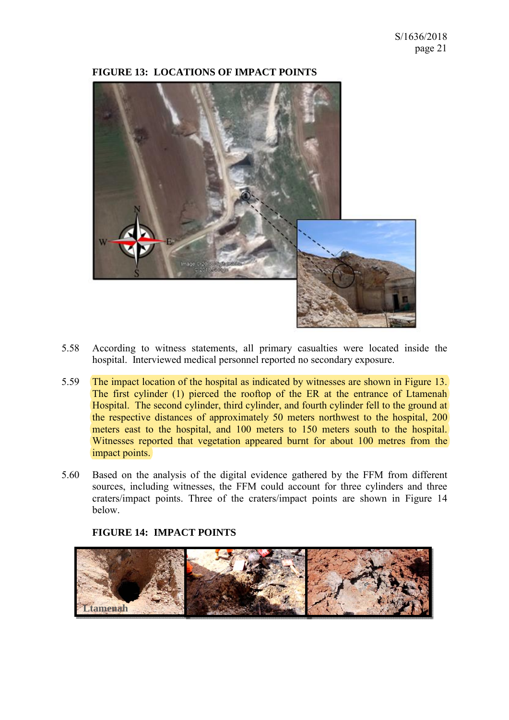

### **FIGURE 13: LOCATIONS OF IMPACT POINTS**

- 5.58 According to witness statements, all primary casualties were located inside the hospital. Interviewed medical personnel reported no secondary exposure.
- 5.59 The impact location of the hospital as indicated by witnesses are shown in Figure 13. The first cylinder (1) pierced the rooftop of the ER at the entrance of Ltamenah Hospital. The second cylinder, third cylinder, and fourth cylinder fell to the ground at the respective distances of approximately 50 meters northwest to the hospital, 200 meters east to the hospital, and 100 meters to 150 meters south to the hospital. Witnesses reported that vegetation appeared burnt for about 100 metres from the impact points.
- 5.60 Based on the analysis of the digital evidence gathered by the FFM from different sources, including witnesses, the FFM could account for three cylinders and three craters/impact points. Three of the craters/impact points are shown in Figure 14 below.



#### **FIGURE 14: IMPACT POINTS**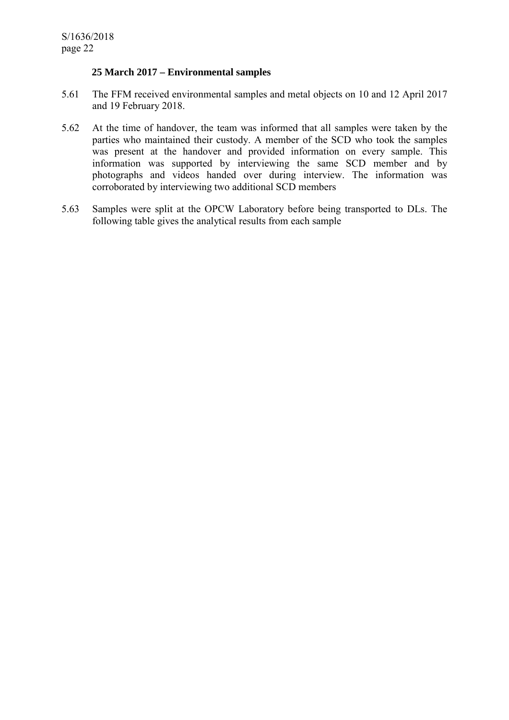### **25 March 2017 – Environmental samples**

- 5.61 The FFM received environmental samples and metal objects on 10 and 12 April 2017 and 19 February 2018.
- 5.62 At the time of handover, the team was informed that all samples were taken by the parties who maintained their custody. A member of the SCD who took the samples was present at the handover and provided information on every sample. This information was supported by interviewing the same SCD member and by photographs and videos handed over during interview. The information was corroborated by interviewing two additional SCD members
- 5.63 Samples were split at the OPCW Laboratory before being transported to DLs. The following table gives the analytical results from each sample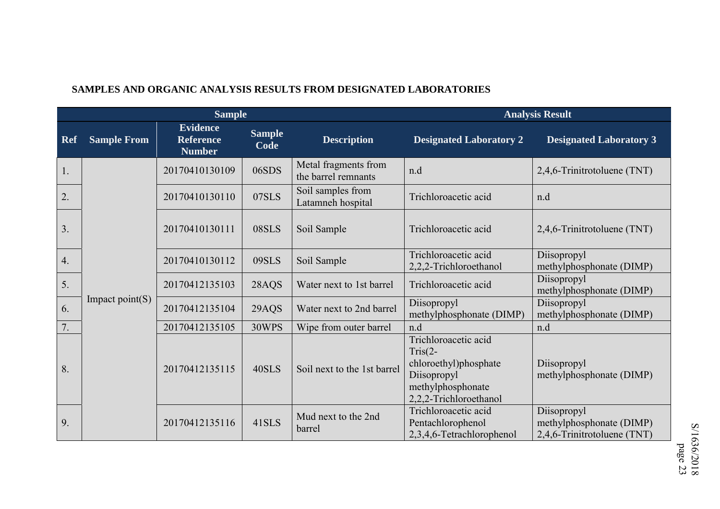|                  |                    | <b>Sample</b>                                        |                       | <b>Analysis Result</b>                      |                                                                                                                          |                                                                        |
|------------------|--------------------|------------------------------------------------------|-----------------------|---------------------------------------------|--------------------------------------------------------------------------------------------------------------------------|------------------------------------------------------------------------|
| Ref              | <b>Sample From</b> | <b>Evidence</b><br><b>Reference</b><br><b>Number</b> | <b>Sample</b><br>Code | <b>Description</b>                          | <b>Designated Laboratory 2</b>                                                                                           | <b>Designated Laboratory 3</b>                                         |
| 1.               |                    | 20170410130109                                       | 06SDS                 | Metal fragments from<br>the barrel remnants | n.d                                                                                                                      | 2,4,6-Trinitrotoluene (TNT)                                            |
| 2.               |                    | 20170410130110                                       | 07SLS                 | Soil samples from<br>Latamneh hospital      | Trichloroacetic acid                                                                                                     | n.d                                                                    |
| $\overline{3}$ . |                    | 20170410130111                                       | 08SLS                 | Soil Sample                                 | Trichloroacetic acid                                                                                                     | 2,4,6-Trinitrotoluene (TNT)                                            |
| 4.               |                    | 20170410130112                                       | 09SLS                 | Soil Sample                                 | Trichloroacetic acid<br>2,2,2-Trichloroethanol                                                                           | Diisopropyl<br>methylphosphonate (DIMP)                                |
| 5.               |                    | 20170412135103                                       | 28AQS                 | Water next to 1st barrel                    | Trichloroacetic acid                                                                                                     | Diisopropyl<br>methylphosphonate (DIMP)                                |
| 6.               | Impact $point(S)$  | 20170412135104                                       | 29AQS                 | Water next to 2nd barrel                    | Diisopropyl<br>methylphosphonate (DIMP)                                                                                  | Diisopropyl<br>methylphosphonate (DIMP)                                |
| 7.               |                    | 20170412135105                                       | 30WPS                 | Wipe from outer barrel                      | n.d                                                                                                                      | n.d                                                                    |
| 8.               |                    | 20170412135115                                       | 40SLS                 | Soil next to the 1st barrel                 | Trichloroacetic acid<br>$Tris(2-$<br>chloroethyl)phosphate<br>Diisopropyl<br>methylphosphonate<br>2,2,2-Trichloroethanol | Diisopropyl<br>methylphosphonate (DIMP)                                |
| 9.               |                    | 20170412135116                                       | 41SLS                 | Mud next to the 2nd<br>barrel               | Trichloroacetic acid<br>Pentachlorophenol<br>2,3,4,6-Tetrachlorophenol                                                   | Diisopropyl<br>methylphosphonate (DIMP)<br>2,4,6-Trinitrotoluene (TNT) |

## **SAMPLES AND ORGANIC ANALYSIS RESULTS FROM DESIGNATED LABORATORIES**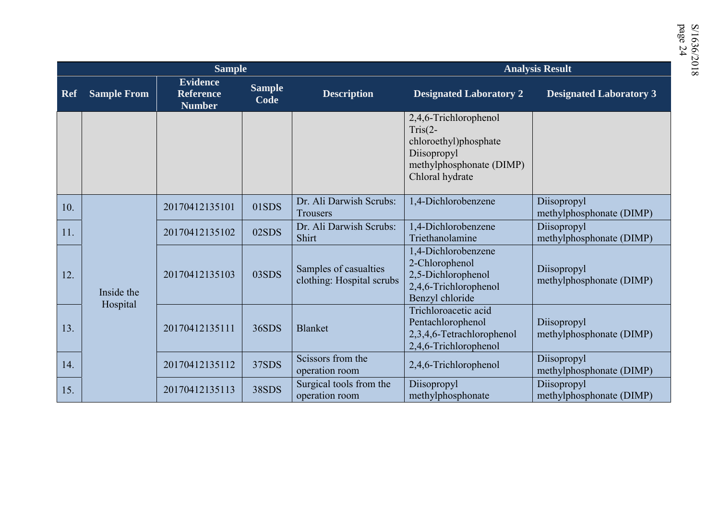|            |                    | <b>Sample</b>                                        |                       |                                                    | <b>Analysis Result</b>                                                                                                    |                                         |  |  |  |
|------------|--------------------|------------------------------------------------------|-----------------------|----------------------------------------------------|---------------------------------------------------------------------------------------------------------------------------|-----------------------------------------|--|--|--|
| <b>Ref</b> | <b>Sample From</b> | <b>Evidence</b><br><b>Reference</b><br><b>Number</b> | <b>Sample</b><br>Code | <b>Description</b>                                 | <b>Designated Laboratory 2</b>                                                                                            | <b>Designated Laboratory 3</b>          |  |  |  |
|            |                    |                                                      |                       |                                                    | 2,4,6-Trichlorophenol<br>$Tris(2-$<br>chloroethyl)phosphate<br>Diisopropyl<br>methylphosphonate (DIMP)<br>Chloral hydrate |                                         |  |  |  |
| 10.        |                    | 20170412135101                                       | 01SDS                 | Dr. Ali Darwish Scrubs:<br>Trousers                | 1,4-Dichlorobenzene                                                                                                       | Diisopropyl<br>methylphosphonate (DIMP) |  |  |  |
| 11.        |                    | 20170412135102                                       | 02SDS                 | Dr. Ali Darwish Scrubs:<br>Shirt                   | 1,4-Dichlorobenzene<br>Triethanolamine                                                                                    | Diisopropyl<br>methylphosphonate (DIMP) |  |  |  |
| 12.        | Inside the         | 20170412135103                                       | 03SDS                 | Samples of casualties<br>clothing: Hospital scrubs | 1,4-Dichlorobenzene<br>2-Chlorophenol<br>2,5-Dichlorophenol<br>2,4,6-Trichlorophenol<br>Benzyl chloride                   | Diisopropyl<br>methylphosphonate (DIMP) |  |  |  |
| 13.        | Hospital           | 20170412135111                                       | 36SDS                 | <b>Blanket</b>                                     | Trichloroacetic acid<br>Pentachlorophenol<br>2,3,4,6-Tetrachlorophenol<br>2,4,6-Trichlorophenol                           | Diisopropyl<br>methylphosphonate (DIMP) |  |  |  |
| 14.        |                    | 20170412135112                                       | 37SDS                 | Scissors from the<br>operation room                | 2,4,6-Trichlorophenol                                                                                                     | Diisopropyl<br>methylphosphonate (DIMP) |  |  |  |
| 15.        |                    | 20170412135113                                       | 38SDS                 | Surgical tools from the<br>operation room          | Diisopropyl<br>methylphosphonate                                                                                          | Diisopropyl<br>methylphosphonate (DIMP) |  |  |  |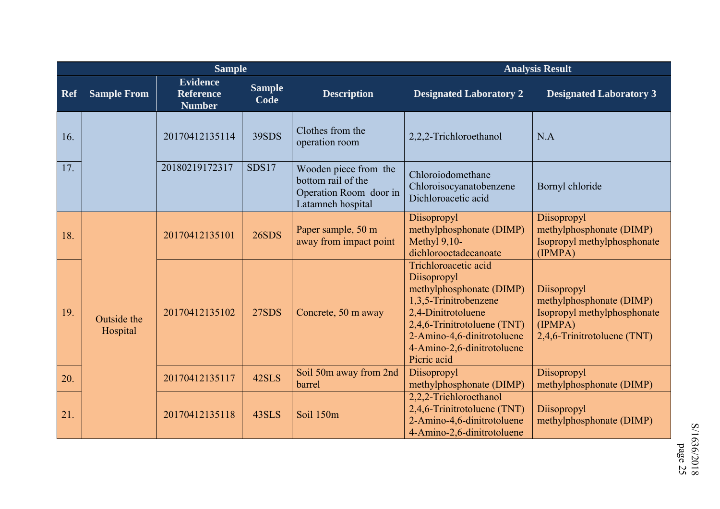|            |                         | <b>Sample</b>                                        |                       | <b>Analysis Result</b>                                                                     |                                                                                                                                                                                                                          |                                                                                                                  |  |  |
|------------|-------------------------|------------------------------------------------------|-----------------------|--------------------------------------------------------------------------------------------|--------------------------------------------------------------------------------------------------------------------------------------------------------------------------------------------------------------------------|------------------------------------------------------------------------------------------------------------------|--|--|
| <b>Ref</b> | <b>Sample From</b>      | <b>Evidence</b><br><b>Reference</b><br><b>Number</b> | <b>Sample</b><br>Code | <b>Description</b>                                                                         | <b>Designated Laboratory 2</b>                                                                                                                                                                                           | <b>Designated Laboratory 3</b>                                                                                   |  |  |
| 16.        |                         | 20170412135114                                       | 39SDS                 | Clothes from the<br>operation room                                                         | 2,2,2-Trichloroethanol                                                                                                                                                                                                   | N.A                                                                                                              |  |  |
| 17.        |                         | 20180219172317                                       | SDS17                 | Wooden piece from the<br>bottom rail of the<br>Operation Room door in<br>Latamneh hospital | Chloroiodomethane<br>Chloroisocyanatobenzene<br>Dichloroacetic acid                                                                                                                                                      | Bornyl chloride                                                                                                  |  |  |
| 18.        |                         | 20170412135101                                       | 26SDS                 | Paper sample, 50 m<br>away from impact point                                               | Diisopropyl<br>methylphosphonate (DIMP)<br>Methyl $9,10-$<br>dichlorooctadecanoate                                                                                                                                       | Diisopropyl<br>methylphosphonate (DIMP)<br>Isopropyl methylphosphonate<br>(IPMPA)                                |  |  |
| 19.        | Outside the<br>Hospital | 20170412135102                                       | 27SDS                 | Concrete, 50 m away                                                                        | Trichloroacetic acid<br>Diisopropyl<br>methylphosphonate (DIMP)<br>1,3,5-Trinitrobenzene<br>2,4-Dinitrotoluene<br>2,4,6-Trinitrotoluene (TNT)<br>2-Amino-4,6-dinitrotoluene<br>4-Amino-2,6-dinitrotoluene<br>Picric acid | Diisopropyl<br>methylphosphonate (DIMP)<br>Isopropyl methylphosphonate<br>(IPMPA)<br>2,4,6-Trinitrotoluene (TNT) |  |  |
| 20.        |                         | 20170412135117                                       | 42SLS                 | Soil 50m away from 2nd<br>barrel                                                           | Diisopropyl<br>methylphosphonate (DIMP)                                                                                                                                                                                  | Diisopropyl<br>methylphosphonate (DIMP)                                                                          |  |  |
| 21.        |                         | 20170412135118                                       | 43SLS                 | Soil 150m                                                                                  | 2,2,2-Trichloroethanol<br>2,4,6-Trinitrotoluene (TNT)<br>2-Amino-4,6-dinitrotoluene<br>4-Amino-2,6-dinitrotoluene                                                                                                        | Diisopropyl<br>methylphosphonate (DIMP)                                                                          |  |  |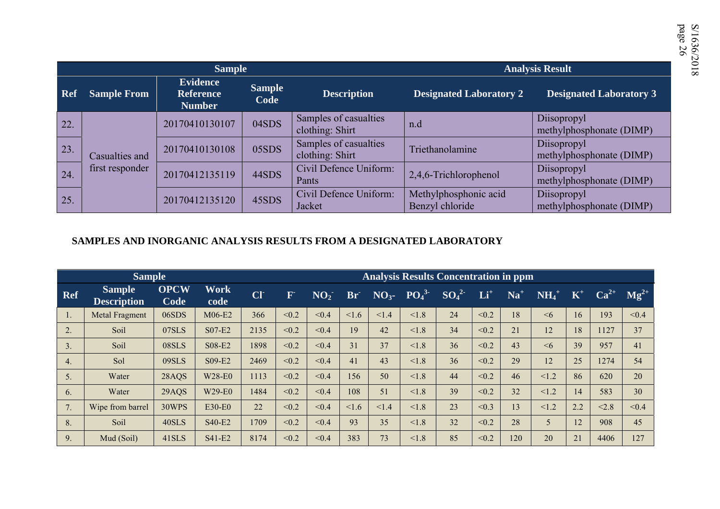|            |                                   | <b>Sample</b>                                        |                       |                                          |                                          | <b>Analysis Result</b>                  |
|------------|-----------------------------------|------------------------------------------------------|-----------------------|------------------------------------------|------------------------------------------|-----------------------------------------|
| <b>Ref</b> | <b>Sample From</b>                | <b>Evidence</b><br><b>Reference</b><br><b>Number</b> | <b>Sample</b><br>Code | <b>Description</b>                       | <b>Designated Laboratory 2</b>           | <b>Designated Laboratory 3</b>          |
| 22.        |                                   | 20170410130107                                       | 04SDS                 | Samples of casualties<br>clothing: Shirt | n.d                                      | Diisopropyl<br>methylphosphonate (DIMP) |
| 23.        | Casualties and<br>first responder | 20170410130108                                       | 05SDS                 | Samples of casualties<br>clothing: Shirt | Triethanolamine                          | Diisopropyl<br>methylphosphonate (DIMP) |
| 24.        |                                   | 20170412135119                                       | 44SDS                 | Civil Defence Uniform:<br>Pants          | 2,4,6-Trichlorophenol                    | Diisopropyl<br>methylphosphonate (DIMP) |
| 25.        |                                   | 20170412135120                                       | 45SDS                 | Civil Defence Uniform:<br>Jacket         | Methylphosphonic acid<br>Benzyl chloride | Diisopropyl<br>methylphosphonate (DIMP) |

### **SAMPLES AND INORGANIC ANALYSIS RESULTS FROM A DESIGNATED LABORATORY**

|            | <b>Sample</b>                       |                     |              |            | <b>Analysis Results Concentration in ppm</b> |                 |            |                 |                              |          |       |       |                     |                         |           |           |
|------------|-------------------------------------|---------------------|--------------|------------|----------------------------------------------|-----------------|------------|-----------------|------------------------------|----------|-------|-------|---------------------|-------------------------|-----------|-----------|
| <b>Ref</b> | <b>Sample</b><br><b>Description</b> | <b>OPCW</b><br>Code | Work<br>code | <b>CIT</b> | $\bf F$                                      | NO <sub>2</sub> | Br         | NO <sub>3</sub> | PO <sub>4</sub> <sup>3</sup> | $SO_4^2$ | $Li+$ | $Na+$ | $NH_4$ <sup>+</sup> | $\mathbf{K}^{\text{+}}$ | $Ca^{2+}$ | $Mg^{2+}$ |
| 1.         | <b>Metal Fragment</b>               | 06SDS               | M06-E2       | 366        | < 0.2                                        | < 0.4           | $\leq 1.6$ | < 1.4           | < 1.8                        | 24       | < 0.2 | 18    | $\leq 6$            | 16                      | 193       | < 0.4     |
| 2.         | Soil                                | 07SLS               | S07-E2       | 2135       | < 0.2                                        | < 0.4           | 19         | 42              | < 1.8                        | 34       | < 0.2 | 21    | 12                  | 18                      | 1127      | 37        |
| 3.         | Soil                                | 08SLS               | S08-E2       | 1898       | < 0.2                                        | < 0.4           | 31         | 37              | < 1.8                        | 36       | < 0.2 | 43    | $\leq 6$            | 39                      | 957       | 41        |
| 4.         | Sol                                 | 09SLS               | S09-E2       | 2469       | < 0.2                                        | < 0.4           | 41         | 43              | < 1.8                        | 36       | < 0.2 | 29    | 12                  | 25                      | 1274      | 54        |
| 5.         | Water                               | 28AQS               | W28-E0       | 1113       | < 0.2                                        | < 0.4           | 156        | 50              | < 1.8                        | 44       | < 0.2 | 46    | < 1.2               | 86                      | 620       | 20        |
| 6.         | Water                               | 29AQS               | W29-E0       | 1484       | < 0.2                                        | < 0.4           | 108        | 51              | < 1.8                        | 39       | < 0.2 | 32    | < 1.2               | 14                      | 583       | 30        |
| 7.         | Wipe from barrel                    | 30WPS               | E30-E0       | 22         | < 0.2                                        | < 0.4           | $\leq 1.6$ | <1.4            | < 1.8                        | 23       | < 0.3 | 13    | < 1.2               | 2.2                     | < 2.8     | < 0.4     |
| 8.         | Soil                                | 40SLS               | S40-E2       | 1709       | < 0.2                                        | < 0.4           | 93         | 35              | < 1.8                        | 32       | < 0.2 | 28    | 5                   | 12                      | 908       | 45        |
| 9.         | Mud (Soil)                          | 41SLS               | S41-E2       | 8174       | < 0.2                                        | < 0.4           | 383        | 73              | < 1.8                        | 85       | < 0.2 | 120   | 20                  | 21                      | 4406      | 127       |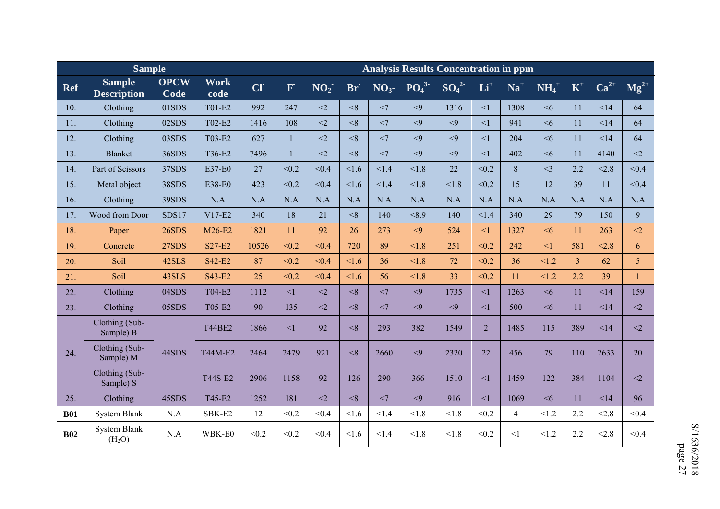|            | <b>Sample</b>                             |                     |                     | <b>Analysis Results Concentration in ppm</b> |              |                 |                 |       |              |          |                |                |                     |                |           |              |
|------------|-------------------------------------------|---------------------|---------------------|----------------------------------------------|--------------|-----------------|-----------------|-------|--------------|----------|----------------|----------------|---------------------|----------------|-----------|--------------|
| <b>Ref</b> | <b>Sample</b><br><b>Description</b>       | <b>OPCW</b><br>Code | <b>Work</b><br>code | CI                                           | $\mathbf{F}$ | NO <sub>2</sub> | Br <sup>-</sup> |       | $NO3 - PO43$ | $SO_4^2$ | $Li+$          | $Na+$          | $NH_4$ <sup>+</sup> | $K^+$          | $Ca^{2+}$ | $Mg^{2+}$    |
| 10.        | Clothing                                  | 01SDS               | T01-E2              | 992                                          | 247          | $\leq$ 2        | $<$ 8           | <7    | $\leq$ 9     | 1316     | $\leq$ 1       | 1308           | <6                  | 11             | <14       | 64           |
| 11.        | Clothing                                  | 02SDS               | T02-E2              | 1416                                         | 108          | $<$ 2           | $<$ 8           | $<$ 7 | $\leq$ 9     | $\leq$ 9 | $\leq$ 1       | 941            | <6                  | 11             | < 14      | 64           |
| 12.        | Clothing                                  | 03SDS               | T03-E2              | 627                                          | $\mathbf{1}$ | $<$ 2           | < 8             | $<$ 7 | $\leq 9$     | $\leq$ 9 | $\leq$ 1       | 204            | <6                  | 11             | <14       | 64           |
| 13.        | <b>Blanket</b>                            | 36SDS               | T36-E2              | 7496                                         |              | $\leq$ 2        | < 8             | $<$ 7 | $\leq$ 9     | < 9      | $\leq$ 1       | 402            | <6                  | 11             | 4140      | $<$ 2        |
| 14.        | Part of Scissors                          | 37SDS               | E37-E0              | 27                                           | < 0.2        | < 0.4           | 1.6             | < 1.4 | < 1.8        | 22       | < 0.2          | 8              | $\leq$ 3            | 2.2            | < 2.8     | < 0.4        |
| 15.        | Metal object                              | 38SDS               | E38-E0              | 423                                          | < 0.2        | < 0.4           | 1.6             | < 1.4 | < 1.8        | < 1.8    | < 0.2          | 15             | 12                  | 39             | 11        | < 0.4        |
| 16.        | Clothing                                  | 39SDS               | N.A                 | N.A                                          | N.A          | N.A             | N.A             | N.A   | N.A          | N.A      | N.A            | N.A            | N.A                 | N.A            | N.A       | N.A          |
| 17.        | Wood from Door                            | SDS17               | $V17-E2$            | 340                                          | 18           | 21              | < 8             | 140   | < 8.9        | 140      | < 1.4          | 340            | 29                  | 79             | 150       | 9            |
| 18.        | Paper                                     | 26SDS               | M26-E2              | 1821                                         | 11           | 92              | 26              | 273   | $\leq$ 9     | 524      | $\leq$ 1       | 1327           | <6                  | 11             | 263       | $\leq$ 2     |
| 19.        | Concrete                                  | <b>27SDS</b>        | S27-E2              | 10526                                        | < 0.2        | < 0.4           | 720             | 89    | < 1.8        | 251      | < 0.2          | 242            | $\leq$ 1            | 581            | < 2.8     | 6            |
| 20.        | Soil                                      | 42SLS               | S42-E2              | 87                                           | < 0.2        | < 0.4           | 1.6             | 36    | < 1.8        | 72       | < 0.2          | 36             | < 1.2               | $\overline{3}$ | 62        | 5            |
| 21.        | Soil                                      | 43SLS               | S43-E2              | 25                                           | < 0.2        | < 0.4           | 1.6             | 56    | < 1.8        | 33       | < 0.2          | 11             | 1.2                 | 2.2            | 39        | $\mathbf{1}$ |
| 22.        | Clothing                                  | 04SDS               | T04-E2              | 1112                                         | $\leq$ 1     | $<$ 2           | < 8             | <7    | < 9          | 1735     | $\leq$ 1       | 1263           | <6                  | 11             | <14       | 159          |
| 23.        | Clothing                                  | 05SDS               | T05-E2              | 90                                           | 135          | $\leq$ 2        | $<$ 8           | $<$ 7 | $\leq$ 9     | < 9      | $\leq$ 1       | 500            | <6                  | 11             | <14       | $<$ 2        |
|            | Clothing (Sub-<br>Sample) B               |                     | <b>T44BE2</b>       | 1866                                         | <1           | 92              | $<$ 8           | 293   | 382          | 1549     | $\overline{2}$ | 1485           | 115                 | 389            | <14       | $<$ 2        |
| 24.        | Clothing (Sub-<br>Sample) M               | 44SDS               | T44M-E2             | 2464                                         | 2479         | 921             | < 8             | 2660  | $\leq 9$     | 2320     | 22             | 456            | 79                  | 110            | 2633      | 20           |
|            | Clothing (Sub-<br>Sample) S               |                     | T44S-E2             | 2906                                         | 1158         | 92              | 126             | 290   | 366          | 1510     | $\leq$ 1       | 1459           | 122                 | 384            | 1104      | $<$ 2        |
| 25.        | Clothing                                  | 45SDS               | T45-E2              | 1252                                         | 181          | $\leq$ 2        | < 8             | $<$ 7 | $\leq$ 9     | 916      | $\leq$ 1       | 1069           | $\leq 6$            | 11             | < 14      | 96           |
| <b>B01</b> | <b>System Blank</b>                       | N.A                 | SBK-E2              | 12                                           | < 0.2        | < 0.4           | 1.6             | < 1.4 | < 1.8        | < 1.8    | < 0.2          | $\overline{4}$ | < 1.2               | 2.2            | < 2.8     | < 0.4        |
| <b>B02</b> | <b>System Blank</b><br>(H <sub>2</sub> O) | N.A                 | WBK-E0              | < 0.2                                        | < 0.2        | < 0.4           | < 1.6           | < 1.4 | < 1.8        | < 1.8    | < 0.2          | <1             | < 1.2               | 2.2            | < 2.8     | < 0.4        |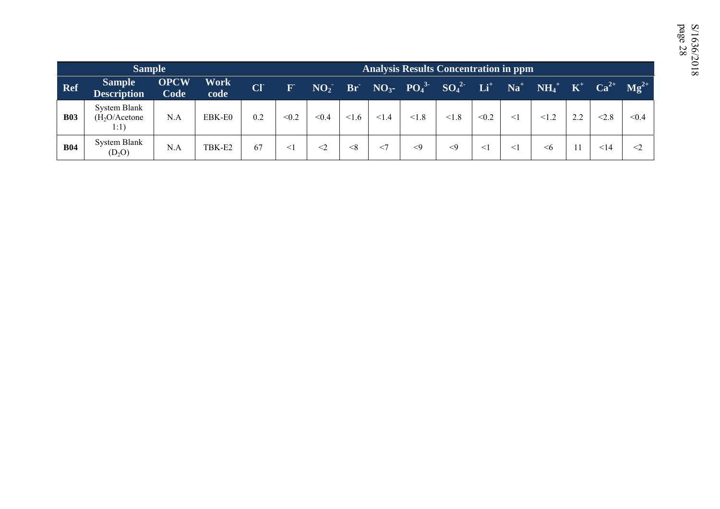|            | <b>Sample</b>                                     |                     |                     |                 |              |       |       |       | <b>Analysis Results Concentration in ppm</b>                               |          |          |        |                                 |     |       |           |
|------------|---------------------------------------------------|---------------------|---------------------|-----------------|--------------|-------|-------|-------|----------------------------------------------------------------------------|----------|----------|--------|---------------------------------|-----|-------|-----------|
| Ref        | <b>Sample</b><br><b>Description</b>               | <b>OPCW</b><br>Code | <b>Work</b><br>code | CI <sup>-</sup> | $\mathbf{F}$ |       |       |       | $NO_2$ Br $NO_3$ - $PO_4$ <sup>3</sup> $SO_4$ <sup>2</sup> Li <sup>+</sup> |          |          |        | $Na^+$ $NH_4^+$ $K^+$ $Ca^{2+}$ |     |       | $Mg^{2+}$ |
| <b>B03</b> | System Blank<br>(H <sub>2</sub> O/Acetone<br>1:1) | N.A                 | EBK-E0              | 0.2             | < 0.2        | < 0.4 | < 1.6 | 1.4   | < 1.8                                                                      | < 1.8    | < 0.2    | $<$ 1  | < 1.2                           | 2.2 | < 2.8 | < 0.4     |
| <b>B04</b> | System Blank<br>$(D_2O)$                          | N.A                 | TBK-E2              | 67              | $\leq$ 1     | $<$ 2 | < 8   | $<$ 7 | $<$ 9                                                                      | $\leq$ 9 | $\leq$ 1 | $\leq$ | <6                              |     | <14   | $\leq$ 2  |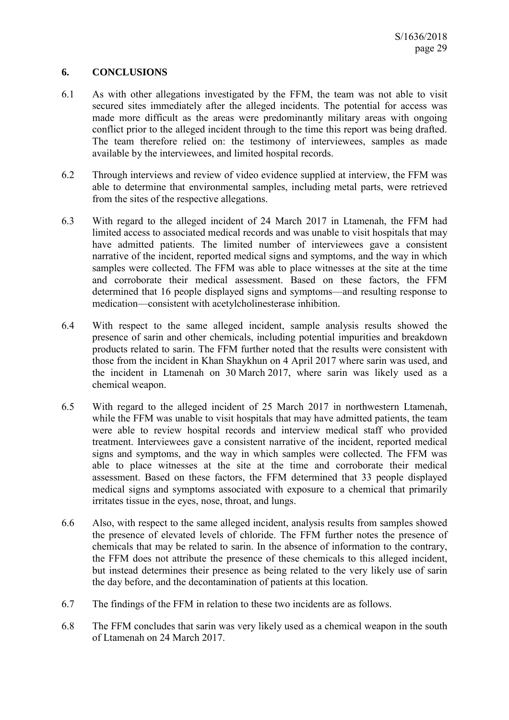## **6. CONCLUSIONS**

- 6.1 As with other allegations investigated by the FFM, the team was not able to visit secured sites immediately after the alleged incidents. The potential for access was made more difficult as the areas were predominantly military areas with ongoing conflict prior to the alleged incident through to the time this report was being drafted. The team therefore relied on: the testimony of interviewees, samples as made available by the interviewees, and limited hospital records.
- 6.2 Through interviews and review of video evidence supplied at interview, the FFM was able to determine that environmental samples, including metal parts, were retrieved from the sites of the respective allegations.
- 6.3 With regard to the alleged incident of 24 March 2017 in Ltamenah, the FFM had limited access to associated medical records and was unable to visit hospitals that may have admitted patients. The limited number of interviewees gave a consistent narrative of the incident, reported medical signs and symptoms, and the way in which samples were collected. The FFM was able to place witnesses at the site at the time and corroborate their medical assessment. Based on these factors, the FFM determined that 16 people displayed signs and symptoms—and resulting response to medication—consistent with acetylcholinesterase inhibition.
- 6.4 With respect to the same alleged incident, sample analysis results showed the presence of sarin and other chemicals, including potential impurities and breakdown products related to sarin. The FFM further noted that the results were consistent with those from the incident in Khan Shaykhun on 4 April 2017 where sarin was used, and the incident in Ltamenah on 30 March 2017, where sarin was likely used as a chemical weapon.
- 6.5 With regard to the alleged incident of 25 March 2017 in northwestern Ltamenah, while the FFM was unable to visit hospitals that may have admitted patients, the team were able to review hospital records and interview medical staff who provided treatment. Interviewees gave a consistent narrative of the incident, reported medical signs and symptoms, and the way in which samples were collected. The FFM was able to place witnesses at the site at the time and corroborate their medical assessment. Based on these factors, the FFM determined that 33 people displayed medical signs and symptoms associated with exposure to a chemical that primarily irritates tissue in the eyes, nose, throat, and lungs.
- 6.6 Also, with respect to the same alleged incident, analysis results from samples showed the presence of elevated levels of chloride. The FFM further notes the presence of chemicals that may be related to sarin. In the absence of information to the contrary, the FFM does not attribute the presence of these chemicals to this alleged incident, but instead determines their presence as being related to the very likely use of sarin the day before, and the decontamination of patients at this location.
- 6.7 The findings of the FFM in relation to these two incidents are as follows.
- 6.8 The FFM concludes that sarin was very likely used as a chemical weapon in the south of Ltamenah on 24 March 2017.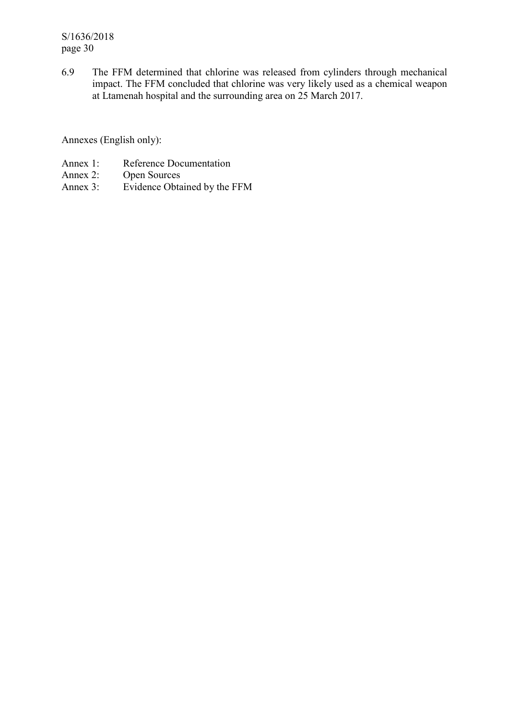S/1636/2018 page 30

6.9 The FFM determined that chlorine was released from cylinders through mechanical impact. The FFM concluded that chlorine was very likely used as a chemical weapon at Ltamenah hospital and the surrounding area on 25 March 2017.

Annexes (English only):

- Annex 1: Reference Documentation<br>Annex 2: Open Sources
- Open Sources
- Annex 3: Evidence Obtained by the FFM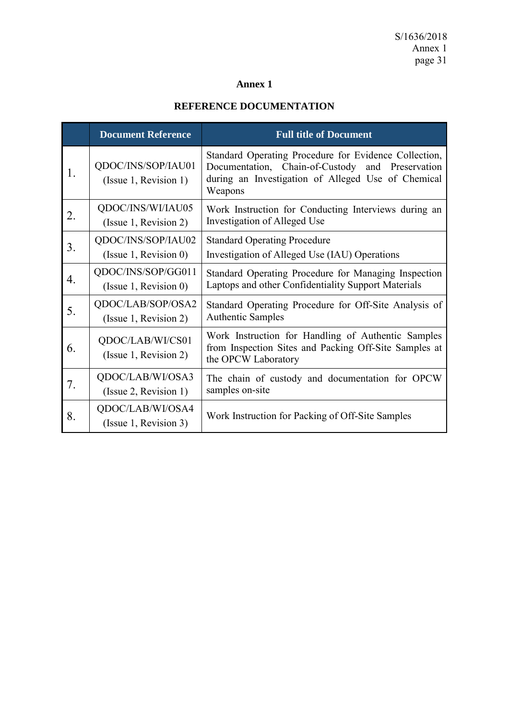# **Annex 1**

# **REFERENCE DOCUMENTATION**

|    | <b>Document Reference</b>                    | <b>Full title of Document</b>                                                                                                                                              |
|----|----------------------------------------------|----------------------------------------------------------------------------------------------------------------------------------------------------------------------------|
| 1. | QDOC/INS/SOP/IAU01<br>(Issue 1, Revision 1)  | Standard Operating Procedure for Evidence Collection,<br>Documentation, Chain-of-Custody and Preservation<br>during an Investigation of Alleged Use of Chemical<br>Weapons |
| 2. | QDOC/INS/WI/IAU05<br>(Issue 1, Revision 2)   | Work Instruction for Conducting Interviews during an<br>Investigation of Alleged Use                                                                                       |
| 3. | QDOC/INS/SOP/IAU02<br>(Is sue 1, Revision 0) | <b>Standard Operating Procedure</b><br>Investigation of Alleged Use (IAU) Operations                                                                                       |
| 4. | QDOC/INS/SOP/GG011<br>(Is sue 1, Revision 0) | Standard Operating Procedure for Managing Inspection<br>Laptops and other Confidentiality Support Materials                                                                |
| 5. | QDOC/LAB/SOP/OSA2<br>(Issue 1, Revision 2)   | Standard Operating Procedure for Off-Site Analysis of<br><b>Authentic Samples</b>                                                                                          |
| 6. | QDOC/LAB/WI/CS01<br>(Issue 1, Revision 2)    | Work Instruction for Handling of Authentic Samples<br>from Inspection Sites and Packing Off-Site Samples at<br>the OPCW Laboratory                                         |
| 7. | QDOC/LAB/WI/OSA3<br>(Issue 2, Revision 1)    | The chain of custody and documentation for OPCW<br>samples on-site                                                                                                         |
| 8. | QDOC/LAB/WI/OSA4<br>(Issue 1, Revision 3)    | Work Instruction for Packing of Off-Site Samples                                                                                                                           |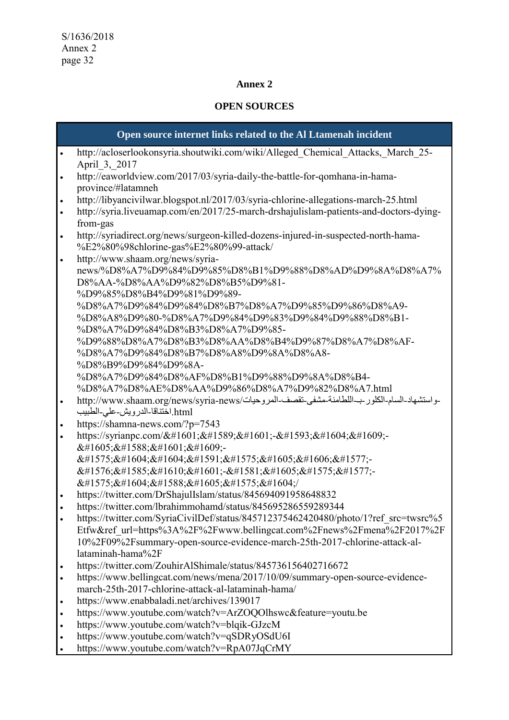### **Annex 2**

# **OPEN SOURCES**

# **Open source internet links related to the Al Ltamenah incident**  http://acloserlookonsyria.shoutwiki.com/wiki/Alleged\_Chemical\_Attacks,\_March\_25- April\_3,\_2017 http://eaworldview.com/2017/03/syria-daily-the-battle-for-qomhana-in-hamaprovince/#latamneh http://libyancivilwar.blogspot.nl/2017/03/syria-chlorine-allegations-march-25.html http://syria.liveuamap.com/en/2017/25-march-drshajulislam-patients-and-doctors-dyingfrom-gas http://syriadirect.org/news/surgeon-killed-dozens-injured-in-suspected-north-hama- %E2%80%98chlorine-gas%E2%80%99-attack/ http://www.shaam.org/news/syrianews/%D8%A7%D9%84%D9%85%D8%B1%D9%88%D8%AD%D9%8A%D8%A7% D8%AA-%D8%AA%D9%82%D8%B5%D9%81- %D9%85%D8%B4%D9%81%D9%89- %D8%A7%D9%84%D9%84%D8%B7%D8%A7%D9%85%D9%86%D8%A9- %D8%A8%D9%80-%D8%A7%D9%84%D9%83%D9%84%D9%88%D8%B1- %D8%A7%D9%84%D8%B3%D8%A7%D9%85- %D9%88%D8%A7%D8%B3%D8%AA%D8%B4%D9%87%D8%A7%D8%AF- %D8%A7%D9%84%D8%B7%D8%A8%D9%8A%D8%A8- %D8%B9%D9%84%D9%8A- %D8%A7%D9%84%D8%AF%D8%B1%D9%88%D9%8A%D8%B4- %D8%A7%D8%AE%D8%AA%D9%86%D8%A7%D9%82%D8%A7.html - واستشهاد-السام-الكلور -بــاللطامنة-مشفى-تقصف-المروحيات/http://www.shaam.org/news/syria-news .<br>html.اختناقا-الدرويش-علي-الطبيب https://shamna-news.com/?p=7543 https://syrianpc.com/فصف-على- $&\#1605:\&\#1588:\&\#1601:\&\#1609$ :- $&\&\#1575;\&\#1604;\&\#1604;\&\#1591;\&\#1575;\&\#1605;\&\#1606;\&\#1577;\text{--}$  $&$ #1576; $&$ #1585; $&$ #1610; $&$ #1601; $&$ #1581; $&$ #1605; $&$ #1575; $&$ #1577;  $&\#1575;\&\#1604;\&\#1588;\&\#1605;\&\#1575;\&\#1604;\/$  https://twitter.com/DrShajulIslam/status/845694091958648832 https://twitter.com/lbrahimmohamd/status/845695286559289344 https://twitter.com/SyriaCivilDef/status/845712375462420480/photo/1?ref\_src=twsrc%5 Etfw&ref\_url=https%3A%2F%2Fwww.bellingcat.com%2Fnews%2Fmena%2F2017%2F 10%2F09%2Fsummary-open-source-evidence-march-25th-2017-chlorine-attack-allataminah-hama%2F https://twitter.com/ZouhirAlShimale/status/845736156402716672 https://www.bellingcat.com/news/mena/2017/10/09/summary-open-source-evidencemarch-25th-2017-chlorine-attack-al-lataminah-hama/ https://www.enabbaladi.net/archives/139017 https://www.youtube.com/watch?v=ArZOQOlhswc&feature=youtu.be https://www.youtube.com/watch?v=blqik-GJzcM https://www.youtube.com/watch?v=qSDRyOSdU6I

https://www.youtube.com/watch?v=RpA07JqCrMY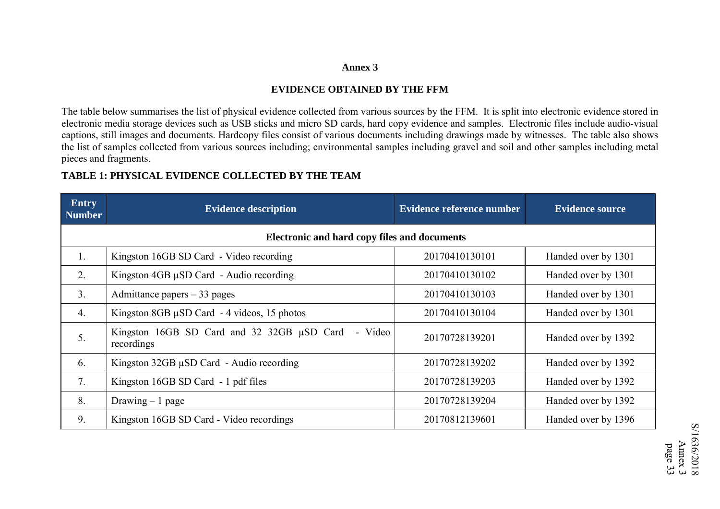#### **Annex 3**

#### **EVIDENCE OBTAINED BY THE FFM**

The table below summarises the list of physical evidence collected from various sources by the FFM. It is split into electronic evidence stored in electronic media storage devices such as USB sticks and micro SD cards, hard copy evidence and samples. Electronic files include audio-visual captions, still images and documents. Hardcopy files consist of various documents including drawings made by witnesses. The table also shows the list of samples collected from various sources including; environmental samples including gravel and soil and other samples including metal pieces and fragments.

# **TABLE 1: PHYSICAL EVIDENCE COLLECTED BY THE TEAM**

| <b>Entry</b><br><b>Number</b> | <b>Evidence description</b>                                              | <b>Evidence reference number</b> | <b>Evidence source</b> |
|-------------------------------|--------------------------------------------------------------------------|----------------------------------|------------------------|
|                               | Electronic and hard copy files and documents                             |                                  |                        |
| 1.                            | Kingston 16GB SD Card - Video recording                                  | 20170410130101                   | Handed over by 1301    |
| 2.                            | Kingston $4GB \mu SD$ Card - Audio recording                             | 20170410130102                   | Handed over by 1301    |
| 3.                            | Admittance papers $-33$ pages                                            | 20170410130103                   | Handed over by 1301    |
| 4.                            | Kingston 8GB $\mu$ SD Card - 4 videos, 15 photos                         | 20170410130104                   | Handed over by 1301    |
| 5.                            | Kingston 16GB SD Card and 32 32GB $\mu$ SD Card<br>- Video<br>recordings | 20170728139201                   | Handed over by 1392    |
| 6.                            | Kingston $32GB \mu SD$ Card - Audio recording                            | 20170728139202                   | Handed over by 1392    |
| 7 <sub>1</sub>                | Kingston 16GB SD Card - 1 pdf files                                      | 20170728139203                   | Handed over by 1392    |
| 8.                            | Drawing $-1$ page                                                        | 20170728139204                   | Handed over by 1392    |
| 9.                            | Kingston 16GB SD Card - Video recordings                                 | 20170812139601                   | Handed over by 1396    |

S/1636/2018 S/1636/2018 Annex page 33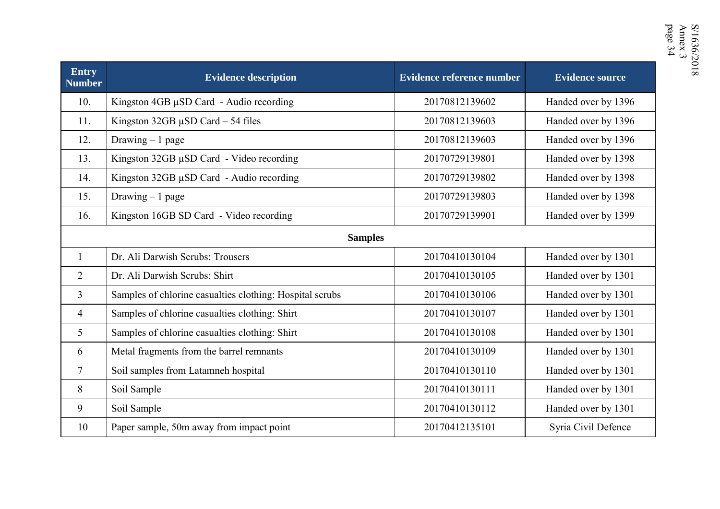| <b>Entry</b><br><b>Number</b> | <b>Evidence description</b>                              | <b>Evidence reference number</b> | <b>Evidence source</b> |
|-------------------------------|----------------------------------------------------------|----------------------------------|------------------------|
| 10.                           | Kingston 4GB µSD Card - Audio recording                  | 20170812139602                   | Handed over by 1396    |
| 11.                           | Kingston $32GB \mu SD$ Card $-54$ files                  | 20170812139603                   | Handed over by 1396    |
| 12.                           | Drawing $-1$ page                                        | 20170812139603                   | Handed over by 1396    |
| 13.                           | Kingston 32GB µSD Card - Video recording                 | 20170729139801                   | Handed over by 1398    |
| 14.                           | Kingston 32GB µSD Card - Audio recording                 | 20170729139802                   | Handed over by 1398    |
| 15.                           | Drawing $-1$ page                                        | 20170729139803                   | Handed over by 1398    |
| 16.                           | Kingston 16GB SD Card - Video recording                  | 20170729139901                   | Handed over by 1399    |
|                               | <b>Samples</b>                                           |                                  |                        |
| $\mathbf{1}$                  | Dr. Ali Darwish Scrubs: Trousers                         | 20170410130104                   | Handed over by 1301    |
| $\overline{2}$                | Dr. Ali Darwish Scrubs: Shirt                            | 20170410130105                   | Handed over by 1301    |
| $\overline{3}$                | Samples of chlorine casualties clothing: Hospital scrubs | 20170410130106                   | Handed over by 1301    |
| 4                             | Samples of chlorine casualties clothing: Shirt           | 20170410130107                   | Handed over by 1301    |
| $\mathfrak{S}$                | Samples of chlorine casualties clothing: Shirt           | 20170410130108                   | Handed over by 1301    |
| 6                             | Metal fragments from the barrel remnants                 | 20170410130109                   | Handed over by 1301    |
| $\overline{7}$                | Soil samples from Latamneh hospital                      | 20170410130110                   | Handed over by 1301    |
| 8                             | Soil Sample                                              | 20170410130111                   | Handed over by 1301    |
| 9                             | Soil Sample                                              | 20170410130112                   | Handed over by 1301    |
| 10                            | Paper sample, 50m away from impact point                 | 20170412135101                   | Syria Civil Defence    |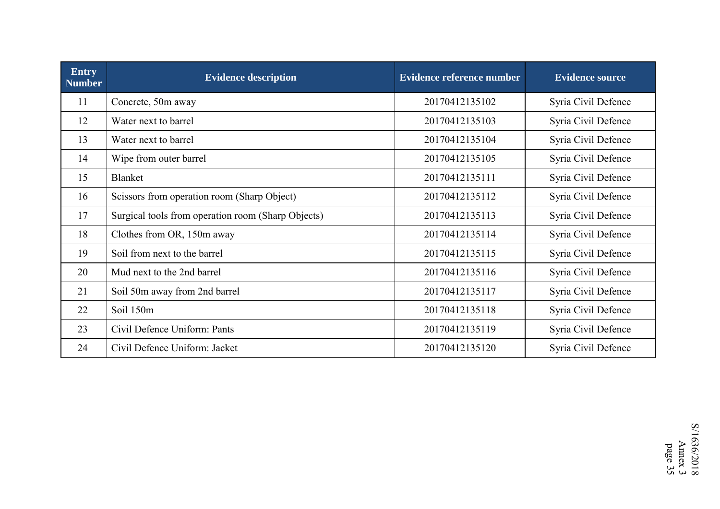| <b>Entry</b><br><b>Number</b> | <b>Evidence description</b>                        | <b>Evidence reference number</b> | <b>Evidence source</b> |
|-------------------------------|----------------------------------------------------|----------------------------------|------------------------|
| 11                            | Concrete, 50m away                                 | 20170412135102                   | Syria Civil Defence    |
| 12                            | Water next to barrel                               | 20170412135103                   | Syria Civil Defence    |
| 13                            | Water next to barrel                               | 20170412135104                   | Syria Civil Defence    |
| 14                            | Wipe from outer barrel                             | 20170412135105                   | Syria Civil Defence    |
| 15                            | <b>Blanket</b>                                     | 20170412135111                   | Syria Civil Defence    |
| 16                            | Scissors from operation room (Sharp Object)        | 20170412135112                   | Syria Civil Defence    |
| 17                            | Surgical tools from operation room (Sharp Objects) | 20170412135113                   | Syria Civil Defence    |
| 18                            | Clothes from OR, 150m away                         | 20170412135114                   | Syria Civil Defence    |
| 19                            | Soil from next to the barrel                       | 20170412135115                   | Syria Civil Defence    |
| 20                            | Mud next to the 2nd barrel                         | 20170412135116                   | Syria Civil Defence    |
| 21                            | Soil 50m away from 2nd barrel                      | 20170412135117                   | Syria Civil Defence    |
| 22                            | Soil 150m                                          | 20170412135118                   | Syria Civil Defence    |
| 23                            | Civil Defence Uniform: Pants                       | 20170412135119                   | Syria Civil Defence    |
| 24                            | Civil Defence Uniform: Jacket                      | 20170412135120                   | Syria Civil Defence    |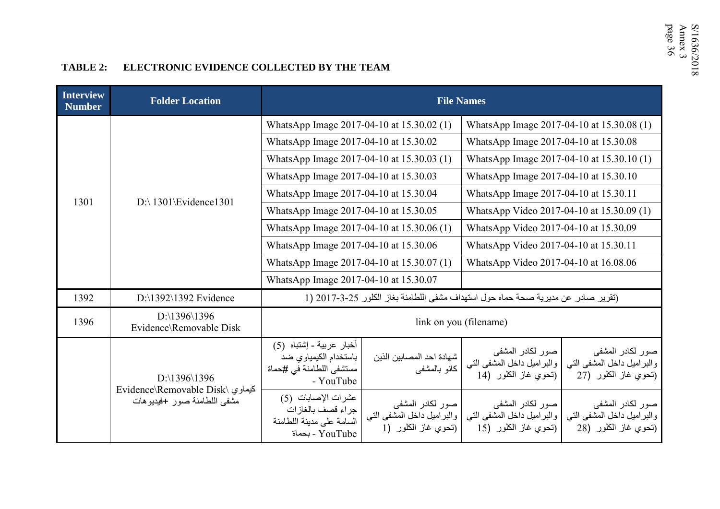# TABLE 2: ELECTRONIC EVIDENCE COLLECTED BY THE TEAM

| <b>Interview</b><br><b>Number</b> | <b>Folder Location</b>                                          |                                                                                            | <b>File Names</b>                                                     |                                                                                   |                                                                        |  |  |  |  |
|-----------------------------------|-----------------------------------------------------------------|--------------------------------------------------------------------------------------------|-----------------------------------------------------------------------|-----------------------------------------------------------------------------------|------------------------------------------------------------------------|--|--|--|--|
|                                   |                                                                 | WhatsApp Image 2017-04-10 at 15.30.02 (1)                                                  |                                                                       | WhatsApp Image 2017-04-10 at 15.30.08 (1)                                         |                                                                        |  |  |  |  |
|                                   |                                                                 | WhatsApp Image 2017-04-10 at 15.30.02                                                      |                                                                       | WhatsApp Image 2017-04-10 at 15.30.08                                             |                                                                        |  |  |  |  |
|                                   |                                                                 | WhatsApp Image 2017-04-10 at 15.30.03 (1)                                                  |                                                                       | WhatsApp Image 2017-04-10 at 15.30.10 (1)                                         |                                                                        |  |  |  |  |
|                                   |                                                                 | WhatsApp Image 2017-04-10 at 15.30.03                                                      |                                                                       | WhatsApp Image 2017-04-10 at 15.30.10                                             |                                                                        |  |  |  |  |
| 1301                              | $D$ : 1301 Evidence 1301                                        | WhatsApp Image 2017-04-10 at 15.30.04                                                      |                                                                       | WhatsApp Image 2017-04-10 at 15.30.11                                             |                                                                        |  |  |  |  |
|                                   |                                                                 | WhatsApp Image 2017-04-10 at 15.30.05                                                      |                                                                       | WhatsApp Video 2017-04-10 at 15.30.09 (1)                                         |                                                                        |  |  |  |  |
|                                   |                                                                 | WhatsApp Image 2017-04-10 at 15.30.06 (1)                                                  |                                                                       | WhatsApp Video 2017-04-10 at 15.30.09                                             |                                                                        |  |  |  |  |
|                                   |                                                                 | WhatsApp Image 2017-04-10 at 15.30.06                                                      |                                                                       | WhatsApp Video 2017-04-10 at 15.30.11                                             |                                                                        |  |  |  |  |
|                                   |                                                                 | WhatsApp Image 2017-04-10 at 15.30.07 (1)                                                  |                                                                       | WhatsApp Video 2017-04-10 at 16.08.06                                             |                                                                        |  |  |  |  |
|                                   |                                                                 | WhatsApp Image 2017-04-10 at 15.30.07                                                      |                                                                       |                                                                                   |                                                                        |  |  |  |  |
| 1392                              | $D:\1392\1392$ Evidence                                         |                                                                                            |                                                                       | (تقرير صادر عن مديرية صحة حماه حول استهداف مشفى اللطامنة بغاز الكلور 25-3-2017 (1 |                                                                        |  |  |  |  |
| 1396                              | $D:\1396\1396$<br>Evidence\Removable Disk                       |                                                                                            | link on you (filename)                                                |                                                                                   |                                                                        |  |  |  |  |
|                                   | D:\1396\1396                                                    | أخبار عربية - إشتباه (5)<br>باستخدام الكيمياوي ضد<br>مستشفى اللطامنة في #حماة<br>- YouTube | شهادة احد المصابين الذين<br>كانو بالمشفى                              | صور لكادر المشفى<br>والبراميل داخل المشفى التبى<br>(تحوي غاز الكلور (14           | صور لكادر المشفى<br>والبراميل داخل المشفى التى<br>(تحوي غاز الكلور (27 |  |  |  |  |
|                                   | Evidence\Removable Disk\ كيماوي<br>مشفى اللطامنة صور +فيديو هات | عشرات الإصابات (5)<br>جراء قصف بالغازات<br>السامة على مدينة اللطامنة<br>YouTube - بحماة    | صور لكادر المشفى<br>والبراميل داخل المشفى التي<br>(تحوي غاز الكلور (1 | صور لكادر المشفى<br>والبراميل داخل المشفى التي<br>(تحوي غاز الكلور (15            | صور لكادر المشفى<br>والبراميل داخل المشفى التي<br>(تحوي غاز الكلور (28 |  |  |  |  |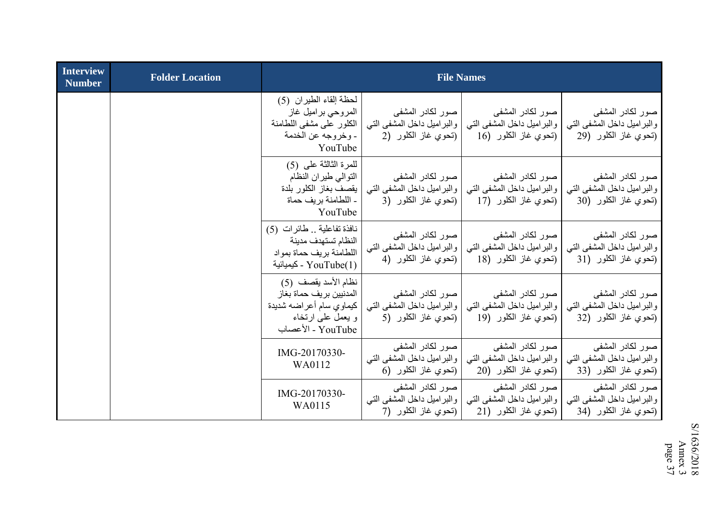| <b>Interview</b><br><b>Number</b> | <b>Folder Location</b> |                                                                                                                     | <b>File Names</b>                                                      |                                                                         |                                                                         |
|-----------------------------------|------------------------|---------------------------------------------------------------------------------------------------------------------|------------------------------------------------------------------------|-------------------------------------------------------------------------|-------------------------------------------------------------------------|
|                                   |                        | لحظة إلقاء الطيران (5)<br>المروحي براميل غاز<br>الكلور على مشفى اللطامنة<br>- وخروجه عن الخدمة<br>YouTube           | صور لکادر المشفى<br>والبراميل داخل المشفى التبي<br>(تحوي غاز الكلور (2 | صور لكادر المشفى<br>والبراميل داخل المشفى التي<br>(تحوي غاز الكلور (16  | صور لكادر المشفى<br>والبراميل داخل المشفى التبي<br>(تحوي غاز الكلور (29 |
|                                   |                        | للمرة الثالثة على (5)<br>التوالي طيران النظام<br>يقصف بغاز الكلور بلدة<br>ـ اللطامنة بريف حماة<br>YouTube           | صور لكادر المشفى<br>والبراميل داخل المشفى التي<br>(تحوي غاز الكلور (3  | صور لكادر المشفى<br>والبراميل داخل المشفى التي<br>(تحوي غاز الكلور (17  | صور لكادر المشفى<br>والبراميل داخل المشفى التي<br>(تحوي غاز الكلور (30  |
|                                   |                        | نافذة تفاعلية . طائرات (5)<br>النظام تستهدف مدينة<br>اللطامنة بريف حماة بمواد<br>YouTube(1) - كيميائية              | صور لكادر المشفى<br>والبراميل داخل المشفى التي<br>(تحوي غاز الكلور (4  | صور لكادر المشفى<br>والبراميل داخل المشفى التبي<br>(تحوي غاز الكلور (18 | صور لكادر المشفى<br>والبراميل داخل المشفى التبي<br>(تحوي غاز الكلور (31 |
|                                   |                        | نظام الأسد يقصف (5)<br>المدنيين بريف حماة بغاز<br>كيماوي سام أعراضه شديدة<br>و يعمل على ارتخاء<br>YouTube - الأعصاب | صور لكادر المشفى<br>والبراميل داخل المشفى التي<br>(تحوي غاز الكلور (5  | صور لكادر المشفى<br>والبراميل داخل المشفى التي<br>(تحوي غاز الكلور (19  | صور لكادر المشفى<br>والبراميل داخل المشفى التبي<br>(تحوي غاز الكلور (32 |
|                                   |                        | IMG-20170330-<br>WA0112                                                                                             | صور لكادر المشفى<br>والبراميل داخل المشفى التبي<br>(تحوي غاز الكلور (6 | صور لكادر المشفى<br>والبراميل داخل المشفى التبي<br>(تحوي غاز الكلور (20 | صور لكادر المشفى<br>والبراميل داخل المشفى التبي<br>(تحوي غاز الكلور (33 |
|                                   |                        | IMG-20170330-<br>WA0115                                                                                             | صور لكادر المشفى<br>والبراميل داخل المشفى التبي<br>(تحوي غاز الكلور (7 | صور لكادر المشفى<br>والبراميل داخل المشفى التبي<br>(تحوي غاز الكلور (21 | صور لكادر المشفى<br>والبراميل داخل المشفى التبي<br>(تحوي غاز الكلور (34 |